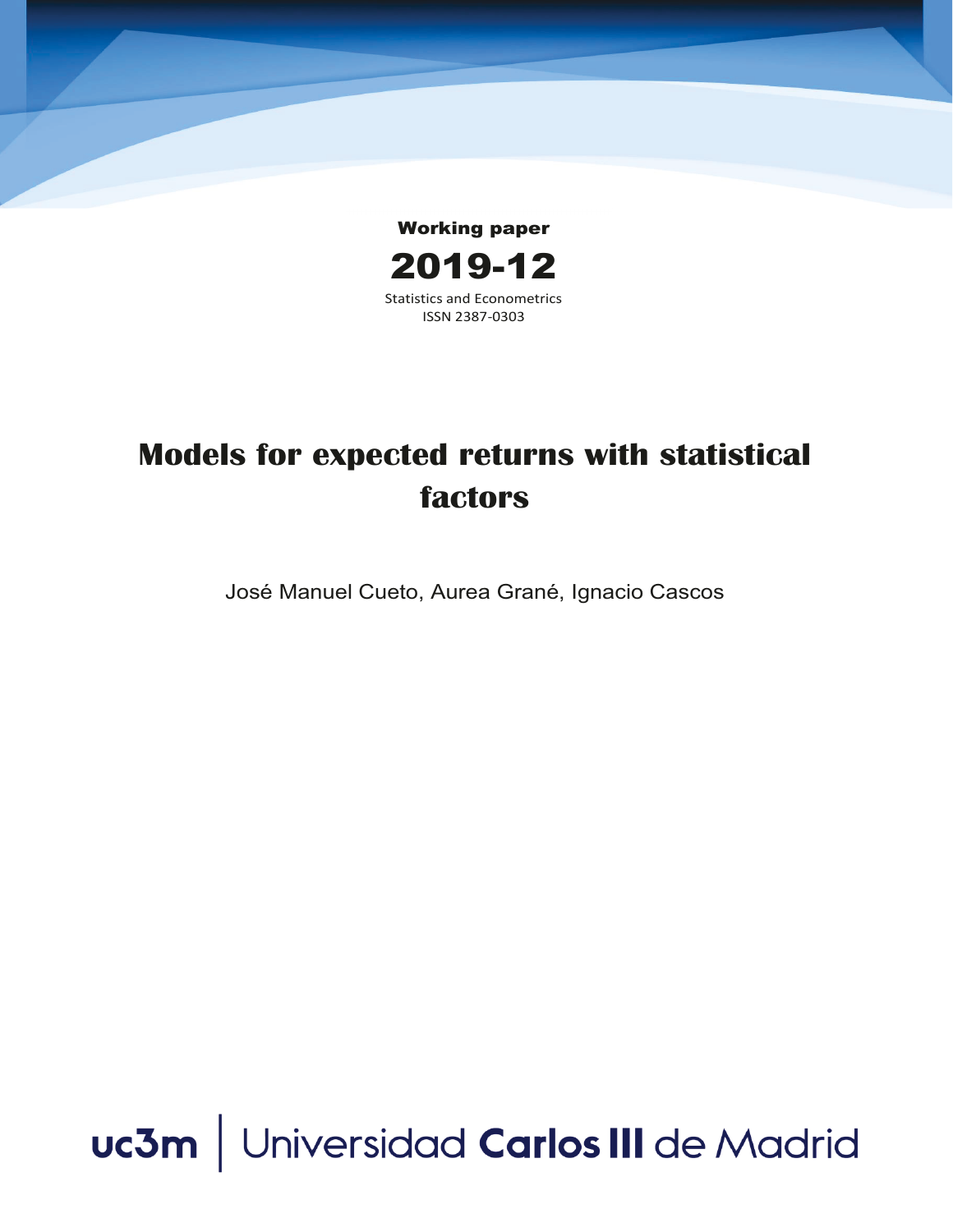

# **Models for expected returns with statistical factors**

José Manuel Cueto, Aurea Grané, Ignacio Cascos

uc3m | Universidad Carlos III de Madrid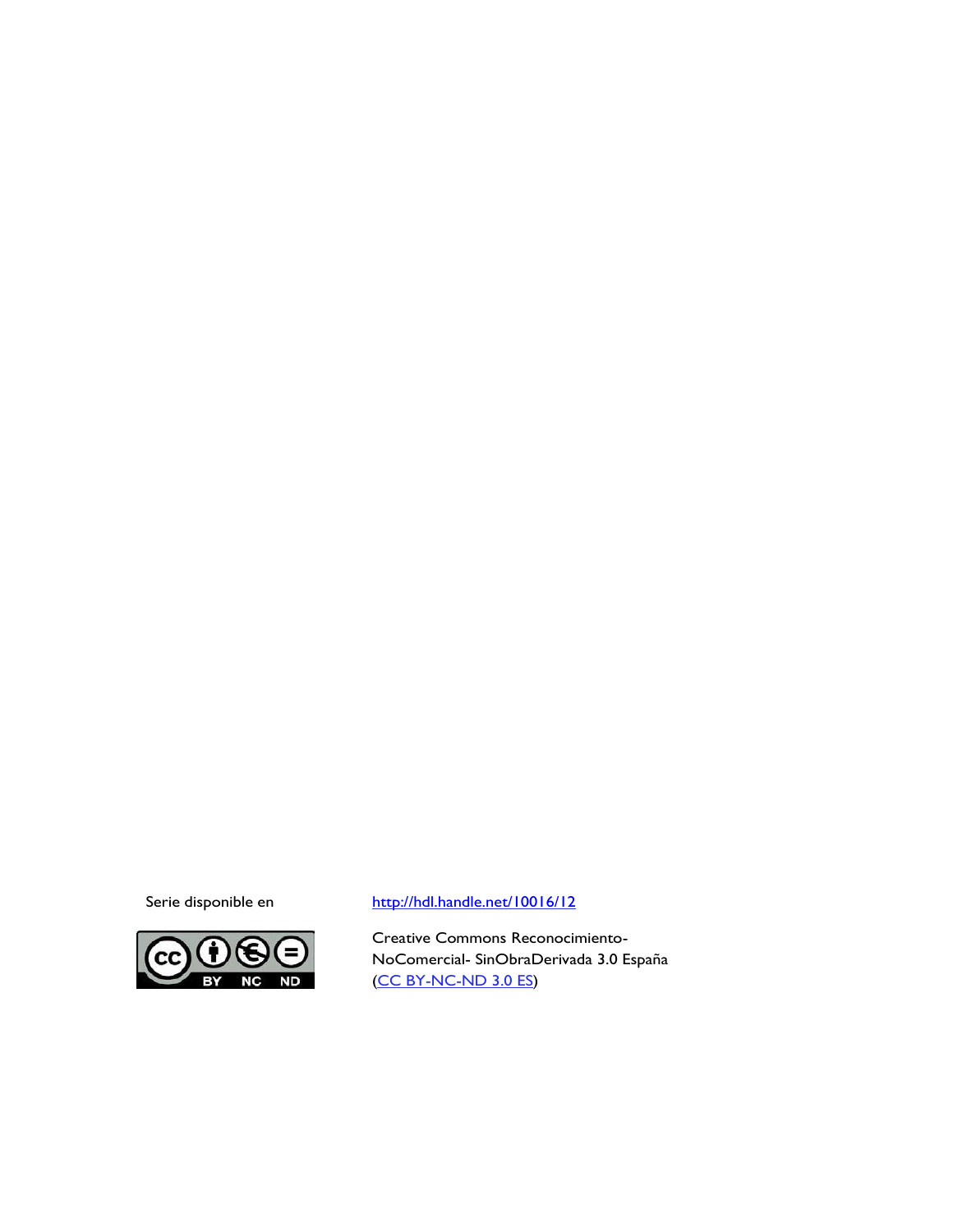

### Serie disponible en http://hdl.handle.net/10016/12

Creative Commons Reconocimiento-NoComercial- SinObraDerivada 3.0 España (CC BY-NC-ND 3.0 ES)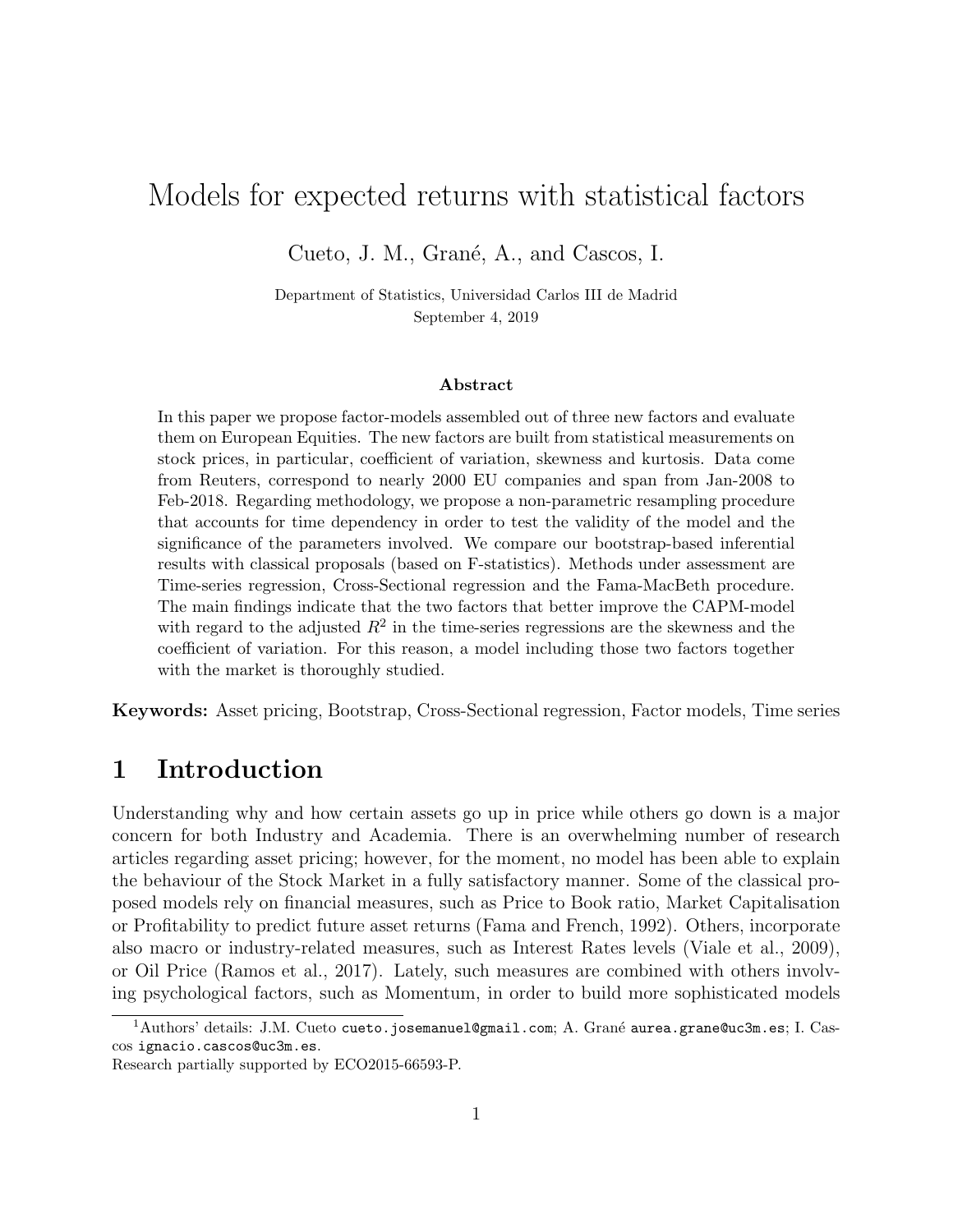# Models for expected returns with statistical factors

Cueto, J. M., Grané, A., and Cascos, I.

Department of Statistics, Universidad Carlos III de Madrid September 4, 2019

#### Abstract

In this paper we propose factor-models assembled out of three new factors and evaluate them on European Equities. The new factors are built from statistical measurements on stock prices, in particular, coefficient of variation, skewness and kurtosis. Data come from Reuters, correspond to nearly 2000 EU companies and span from Jan-2008 to Feb-2018. Regarding methodology, we propose a non-parametric resampling procedure that accounts for time dependency in order to test the validity of the model and the significance of the parameters involved. We compare our bootstrap-based inferential results with classical proposals (based on F-statistics). Methods under assessment are Time-series regression, Cross-Sectional regression and the Fama-MacBeth procedure. The main findings indicate that the two factors that better improve the CAPM-model with regard to the adjusted  $R^2$  in the time-series regressions are the skewness and the coefficient of variation. For this reason, a model including those two factors together with the market is thoroughly studied.

Keywords: Asset pricing, Bootstrap, Cross-Sectional regression, Factor models, Time series

# 1 Introduction

Understanding why and how certain assets go up in price while others go down is a major concern for both Industry and Academia. There is an overwhelming number of research articles regarding asset pricing; however, for the moment, no model has been able to explain the behaviour of the Stock Market in a fully satisfactory manner. Some of the classical proposed models rely on financial measures, such as Price to Book ratio, Market Capitalisation or Profitability to predict future asset returns (Fama and French, 1992). Others, incorporate also macro or industry-related measures, such as Interest Rates levels (Viale et al., 2009), or Oil Price (Ramos et al., 2017). Lately, such measures are combined with others involving psychological factors, such as Momentum, in order to build more sophisticated models

 $1$ Authors' details: J.M. Cueto cueto.josemanuel@gmail.com; A. Grané aurea.grane@uc3m.es; I. Cascos ignacio.cascos@uc3m.es.

Research partially supported by ECO2015-66593-P.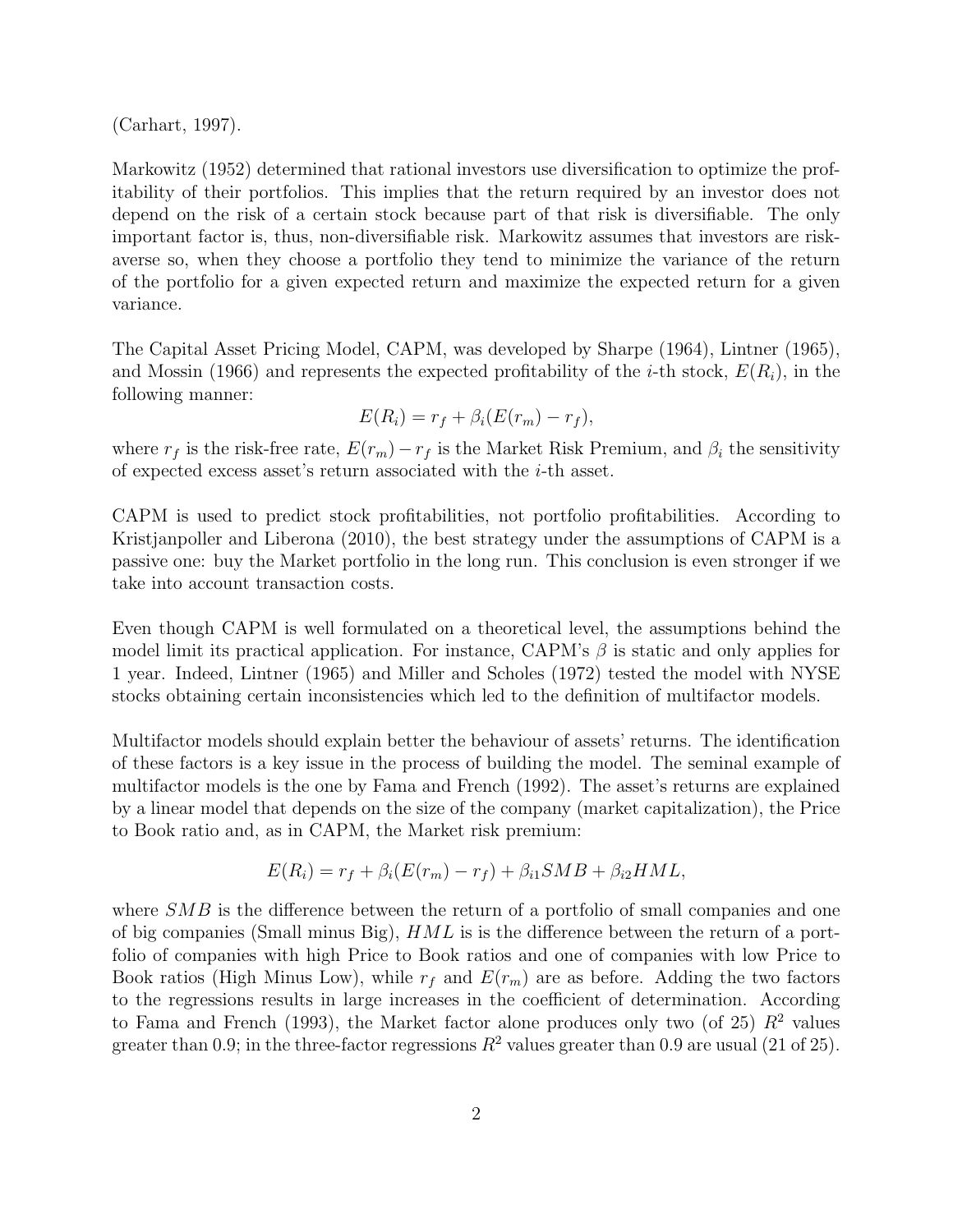(Carhart, 1997).

Markowitz (1952) determined that rational investors use diversification to optimize the profitability of their portfolios. This implies that the return required by an investor does not depend on the risk of a certain stock because part of that risk is diversifiable. The only important factor is, thus, non-diversifiable risk. Markowitz assumes that investors are riskaverse so, when they choose a portfolio they tend to minimize the variance of the return of the portfolio for a given expected return and maximize the expected return for a given variance.

The Capital Asset Pricing Model, CAPM, was developed by Sharpe (1964), Lintner (1965), and Mossin (1966) and represents the expected profitability of the *i*-th stock,  $E(R_i)$ , in the following manner:

$$
E(R_i) = r_f + \beta_i (E(r_m) - r_f),
$$

where  $r_f$  is the risk-free rate,  $E(r_m) - r_f$  is the Market Risk Premium, and  $\beta_i$  the sensitivity of expected excess asset's return associated with the i-th asset.

CAPM is used to predict stock profitabilities, not portfolio profitabilities. According to Kristjanpoller and Liberona (2010), the best strategy under the assumptions of CAPM is a passive one: buy the Market portfolio in the long run. This conclusion is even stronger if we take into account transaction costs.

Even though CAPM is well formulated on a theoretical level, the assumptions behind the model limit its practical application. For instance, CAPM's  $\beta$  is static and only applies for 1 year. Indeed, Lintner (1965) and Miller and Scholes (1972) tested the model with NYSE stocks obtaining certain inconsistencies which led to the definition of multifactor models.

Multifactor models should explain better the behaviour of assets' returns. The identification of these factors is a key issue in the process of building the model. The seminal example of multifactor models is the one by Fama and French (1992). The asset's returns are explained by a linear model that depends on the size of the company (market capitalization), the Price to Book ratio and, as in CAPM, the Market risk premium:

$$
E(R_i) = r_f + \beta_i (E(r_m) - r_f) + \beta_{i1} SMB + \beta_{i2} HML,
$$

where SMB is the difference between the return of a portfolio of small companies and one of big companies (Small minus Big),  $HML$  is is the difference between the return of a portfolio of companies with high Price to Book ratios and one of companies with low Price to Book ratios (High Minus Low), while  $r_f$  and  $E(r_m)$  are as before. Adding the two factors to the regressions results in large increases in the coefficient of determination. According to Fama and French (1993), the Market factor alone produces only two (of 25)  $R^2$  values greater than 0.9; in the three-factor regressions  $R^2$  values greater than 0.9 are usual (21 of 25).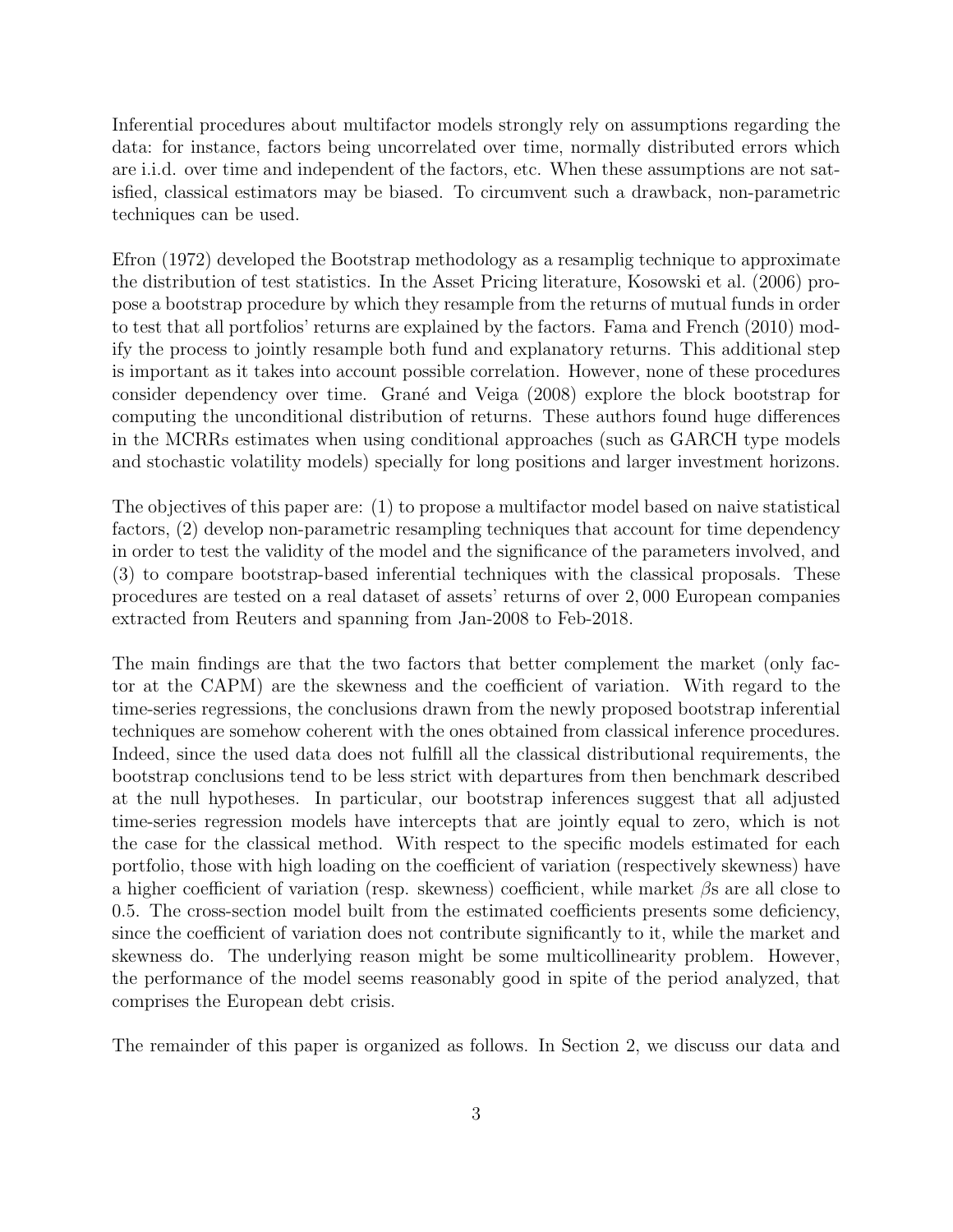Inferential procedures about multifactor models strongly rely on assumptions regarding the data: for instance, factors being uncorrelated over time, normally distributed errors which are i.i.d. over time and independent of the factors, etc. When these assumptions are not satisfied, classical estimators may be biased. To circumvent such a drawback, non-parametric techniques can be used.

Efron (1972) developed the Bootstrap methodology as a resamplig technique to approximate the distribution of test statistics. In the Asset Pricing literature, Kosowski et al. (2006) propose a bootstrap procedure by which they resample from the returns of mutual funds in order to test that all portfolios' returns are explained by the factors. Fama and French (2010) modify the process to jointly resample both fund and explanatory returns. This additional step is important as it takes into account possible correlation. However, none of these procedures consider dependency over time. Grané and Veiga (2008) explore the block bootstrap for computing the unconditional distribution of returns. These authors found huge differences in the MCRRs estimates when using conditional approaches (such as GARCH type models and stochastic volatility models) specially for long positions and larger investment horizons.

The objectives of this paper are: (1) to propose a multifactor model based on naive statistical factors, (2) develop non-parametric resampling techniques that account for time dependency in order to test the validity of the model and the significance of the parameters involved, and (3) to compare bootstrap-based inferential techniques with the classical proposals. These procedures are tested on a real dataset of assets' returns of over 2, 000 European companies extracted from Reuters and spanning from Jan-2008 to Feb-2018.

The main findings are that the two factors that better complement the market (only factor at the CAPM) are the skewness and the coefficient of variation. With regard to the time-series regressions, the conclusions drawn from the newly proposed bootstrap inferential techniques are somehow coherent with the ones obtained from classical inference procedures. Indeed, since the used data does not fulfill all the classical distributional requirements, the bootstrap conclusions tend to be less strict with departures from then benchmark described at the null hypotheses. In particular, our bootstrap inferences suggest that all adjusted time-series regression models have intercepts that are jointly equal to zero, which is not the case for the classical method. With respect to the specific models estimated for each portfolio, those with high loading on the coefficient of variation (respectively skewness) have a higher coefficient of variation (resp. skewness) coefficient, while market  $\beta$ s are all close to 0.5. The cross-section model built from the estimated coefficients presents some deficiency, since the coefficient of variation does not contribute significantly to it, while the market and skewness do. The underlying reason might be some multicollinearity problem. However, the performance of the model seems reasonably good in spite of the period analyzed, that comprises the European debt crisis.

The remainder of this paper is organized as follows. In Section 2, we discuss our data and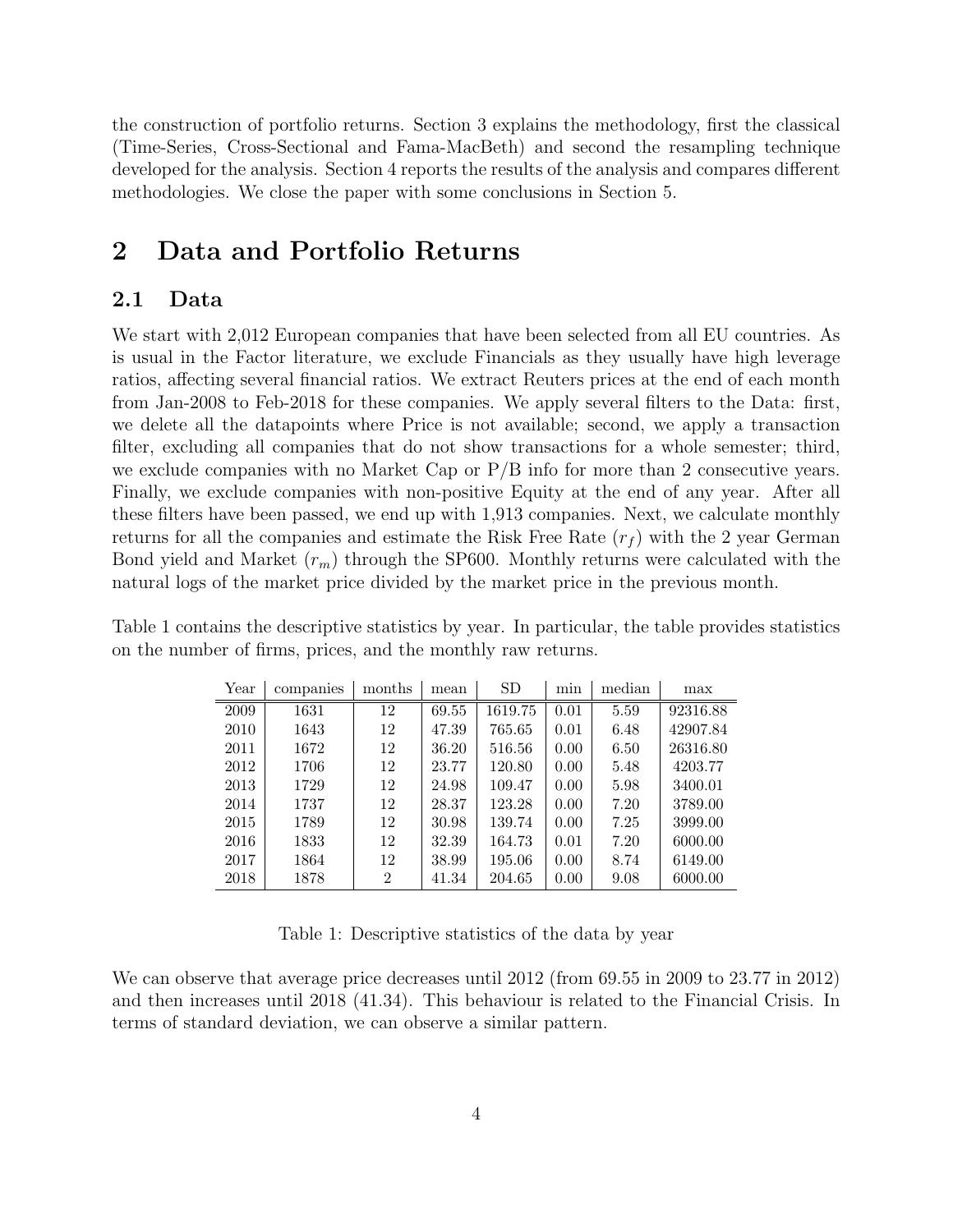the construction of portfolio returns. Section 3 explains the methodology, first the classical (Time-Series, Cross-Sectional and Fama-MacBeth) and second the resampling technique developed for the analysis. Section 4 reports the results of the analysis and compares different methodologies. We close the paper with some conclusions in Section 5.

# 2 Data and Portfolio Returns

### 2.1 Data

We start with 2,012 European companies that have been selected from all EU countries. As is usual in the Factor literature, we exclude Financials as they usually have high leverage ratios, affecting several financial ratios. We extract Reuters prices at the end of each month from Jan-2008 to Feb-2018 for these companies. We apply several filters to the Data: first, we delete all the datapoints where Price is not available; second, we apply a transaction filter, excluding all companies that do not show transactions for a whole semester; third, we exclude companies with no Market Cap or P/B info for more than 2 consecutive years. Finally, we exclude companies with non-positive Equity at the end of any year. After all these filters have been passed, we end up with 1,913 companies. Next, we calculate monthly returns for all the companies and estimate the Risk Free Rate  $(r_f)$  with the 2 year German Bond yield and Market  $(r_m)$  through the SP600. Monthly returns were calculated with the natural logs of the market price divided by the market price in the previous month.

Table 1 contains the descriptive statistics by year. In particular, the table provides statistics on the number of firms, prices, and the monthly raw returns.

| Year | companies | months         | mean  | <b>SD</b> | min  | median | max      |
|------|-----------|----------------|-------|-----------|------|--------|----------|
| 2009 | 1631      | 12             | 69.55 | 1619.75   | 0.01 | 5.59   | 92316.88 |
| 2010 | 1643      | 12             | 47.39 | 765.65    | 0.01 | 6.48   | 42907.84 |
| 2011 | 1672      | 12             | 36.20 | 516.56    | 0.00 | 6.50   | 26316.80 |
| 2012 | 1706      | 12             | 23.77 | 120.80    | 0.00 | 5.48   | 4203.77  |
| 2013 | 1729      | 12             | 24.98 | 109.47    | 0.00 | 5.98   | 3400.01  |
| 2014 | 1737      | 12             | 28.37 | 123.28    | 0.00 | 7.20   | 3789.00  |
| 2015 | 1789      | 12             | 30.98 | 139.74    | 0.00 | 7.25   | 3999.00  |
| 2016 | 1833      | 12             | 32.39 | 164.73    | 0.01 | 7.20   | 6000.00  |
| 2017 | 1864      | 12             | 38.99 | 195.06    | 0.00 | 8.74   | 6149.00  |
| 2018 | 1878      | $\overline{2}$ | 41.34 | 204.65    | 0.00 | 9.08   | 6000.00  |

Table 1: Descriptive statistics of the data by year

We can observe that average price decreases until 2012 (from 69.55 in 2009 to 23.77 in 2012) and then increases until 2018 (41.34). This behaviour is related to the Financial Crisis. In terms of standard deviation, we can observe a similar pattern.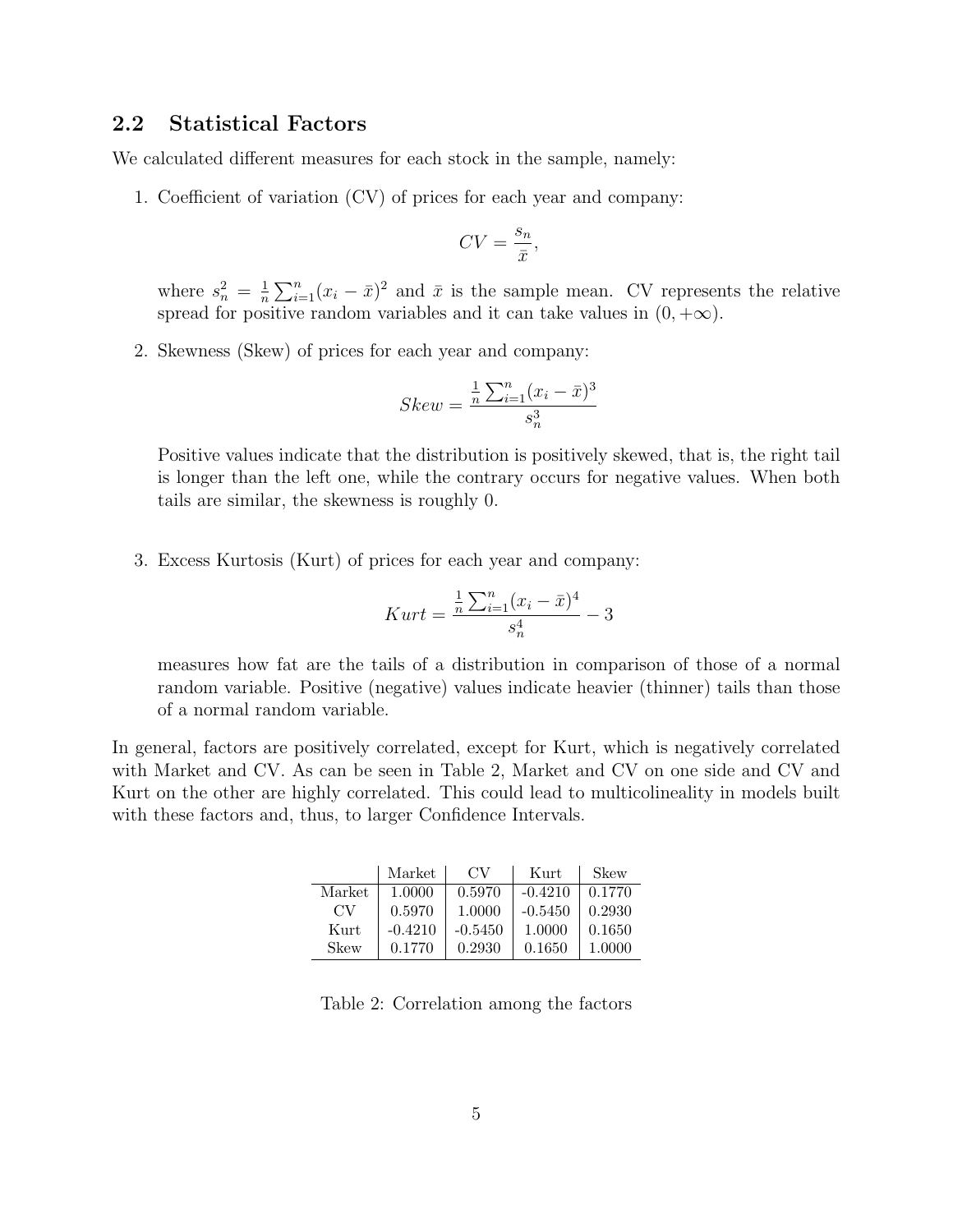### 2.2 Statistical Factors

We calculated different measures for each stock in the sample, namely:

1. Coefficient of variation (CV) of prices for each year and company:

$$
CV = \frac{s_n}{\bar{x}},
$$

where  $s_n^2 = \frac{1}{n}$  $\frac{1}{n}\sum_{i=1}^{n}(x_i - \bar{x})^2$  and  $\bar{x}$  is the sample mean. CV represents the relative spread for positive random variables and it can take values in  $(0, +\infty)$ .

2. Skewness (Skew) of prices for each year and company:

$$
Skew = \frac{\frac{1}{n} \sum_{i=1}^{n} (x_i - \bar{x})^3}{s_n^3}
$$

Positive values indicate that the distribution is positively skewed, that is, the right tail is longer than the left one, while the contrary occurs for negative values. When both tails are similar, the skewness is roughly 0.

3. Excess Kurtosis (Kurt) of prices for each year and company:

$$
Kurt = \frac{\frac{1}{n}\sum_{i=1}^{n}(x_i - \bar{x})^4}{s_n^4} - 3
$$

measures how fat are the tails of a distribution in comparison of those of a normal random variable. Positive (negative) values indicate heavier (thinner) tails than those of a normal random variable.

In general, factors are positively correlated, except for Kurt, which is negatively correlated with Market and CV. As can be seen in Table 2, Market and CV on one side and CV and Kurt on the other are highly correlated. This could lead to multicolineality in models built with these factors and, thus, to larger Confidence Intervals.

|        | Market    | CV        | Kurt      | Skew   |
|--------|-----------|-----------|-----------|--------|
| Market | 1.0000    | 0.5970    | $-0.4210$ | 0.1770 |
| CV.    | 0.5970    | 1.0000    | $-0.5450$ | 0.2930 |
| Kurt   | $-0.4210$ | $-0.5450$ | 1.0000    | 0.1650 |
| Skew   | 0.1770    | 0.2930    | 0.1650    | 1.0000 |

Table 2: Correlation among the factors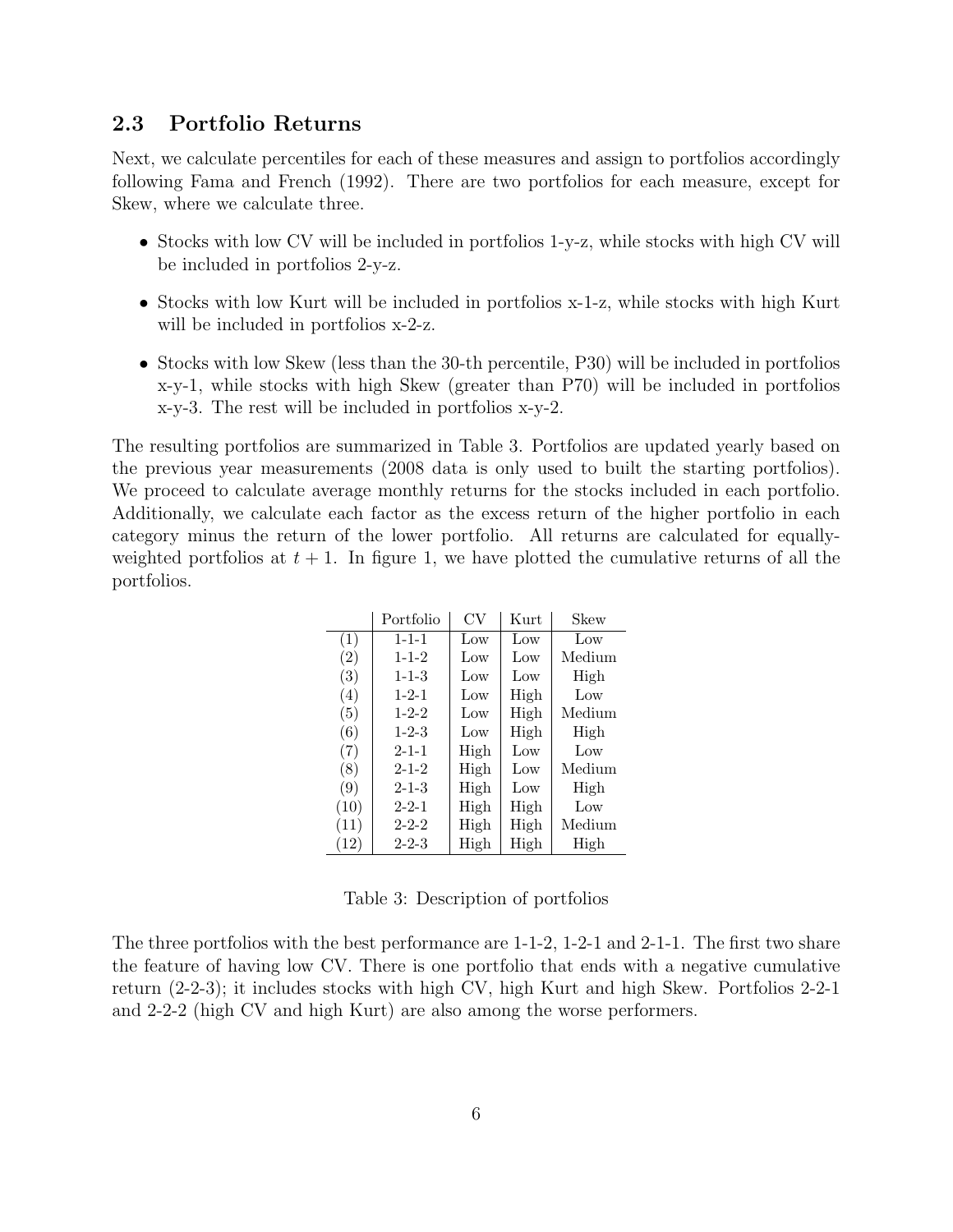### 2.3 Portfolio Returns

Next, we calculate percentiles for each of these measures and assign to portfolios accordingly following Fama and French (1992). There are two portfolios for each measure, except for Skew, where we calculate three.

- Stocks with low CV will be included in portfolios 1-y-z, while stocks with high CV will be included in portfolios 2-y-z.
- Stocks with low Kurt will be included in portfolios x-1-z, while stocks with high Kurt will be included in portfolios  $x$ -2-z.
- Stocks with low Skew (less than the 30-th percentile, P30) will be included in portfolios x-y-1, while stocks with high Skew (greater than P70) will be included in portfolios x-y-3. The rest will be included in portfolios x-y-2.

The resulting portfolios are summarized in Table 3. Portfolios are updated yearly based on the previous year measurements (2008 data is only used to built the starting portfolios). We proceed to calculate average monthly returns for the stocks included in each portfolio. Additionally, we calculate each factor as the excess return of the higher portfolio in each category minus the return of the lower portfolio. All returns are calculated for equallyweighted portfolios at  $t + 1$ . In figure 1, we have plotted the cumulative returns of all the portfolios.

|      | Portfolio   | CV   | Kurt            | Skew   |
|------|-------------|------|-----------------|--------|
| (1)  | $1 - 1 - 1$ | Low  | $_{\text{Low}}$ | Low    |
| (2)  | $1 - 1 - 2$ | Low  | $_{\text{Low}}$ | Medium |
| (3)  | $1 - 1 - 3$ | Low  | Low             | High   |
| (4)  | $1 - 2 - 1$ | Low  | High            | Low    |
| (5)  | $1 - 2 - 2$ | Low  | High            | Medium |
| (6)  | $1 - 2 - 3$ | Low  | High            | High   |
| (7)  | $2 - 1 - 1$ | High | Low             | Low    |
| (8)  | $2 - 1 - 2$ | High | Low             | Medium |
| (9)  | $2 - 1 - 3$ | High | $_{\text{Low}}$ | High   |
| (10) | $2 - 2 - 1$ | High | High            | Low    |
| (11) | $2 - 2 - 2$ | High | High            | Medium |
| (12) | $2 - 2 - 3$ | High | High            | High   |

Table 3: Description of portfolios

The three portfolios with the best performance are 1-1-2, 1-2-1 and 2-1-1. The first two share the feature of having low CV. There is one portfolio that ends with a negative cumulative return (2-2-3); it includes stocks with high CV, high Kurt and high Skew. Portfolios 2-2-1 and 2-2-2 (high CV and high Kurt) are also among the worse performers.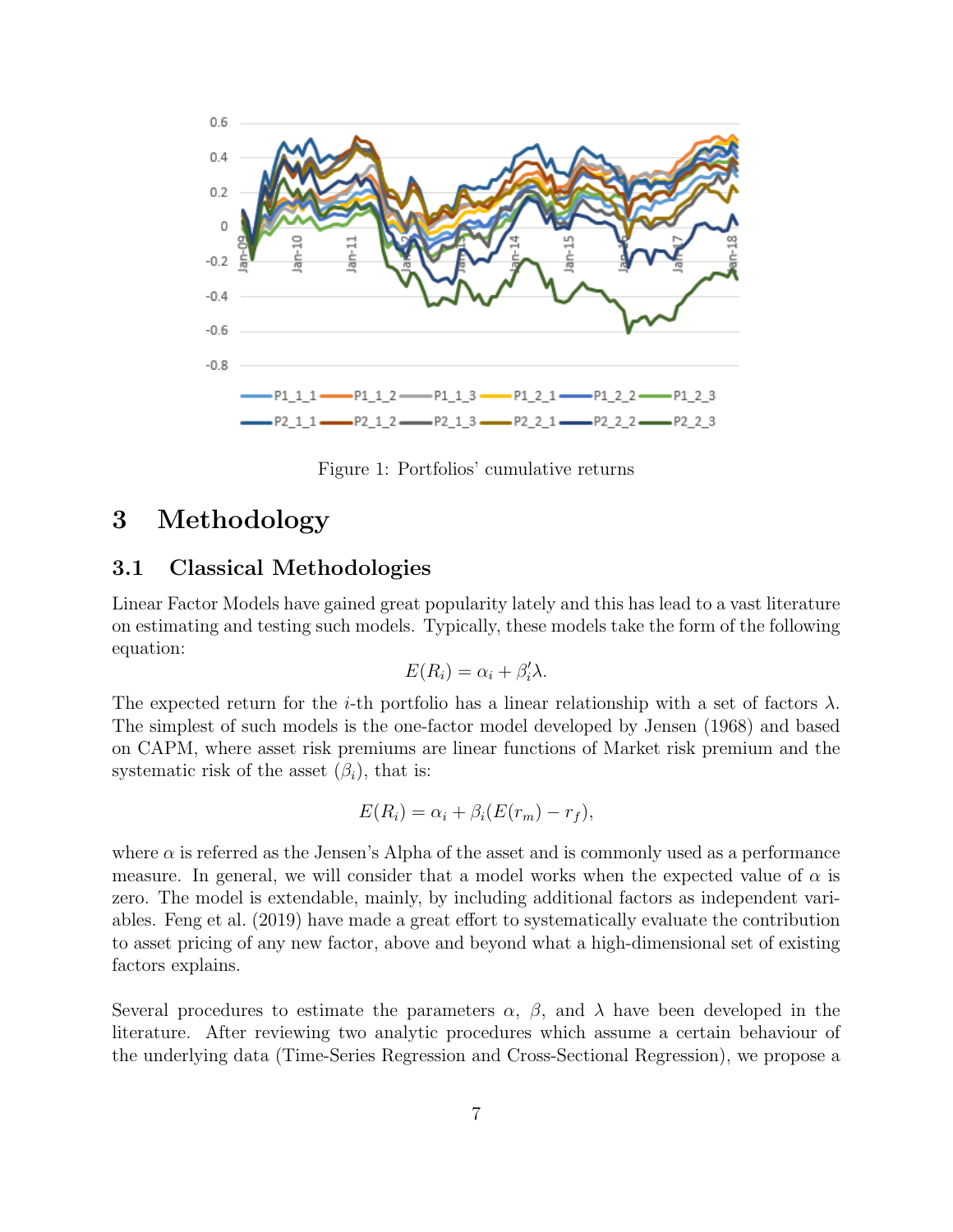

Figure 1: Portfolios' cumulative returns

# 3 Methodology

### 3.1 Classical Methodologies

Linear Factor Models have gained great popularity lately and this has lead to a vast literature on estimating and testing such models. Typically, these models take the form of the following equation:

$$
E(R_i) = \alpha_i + \beta'_i \lambda.
$$

The expected return for the *i*-th portfolio has a linear relationship with a set of factors  $\lambda$ . The simplest of such models is the one-factor model developed by Jensen (1968) and based on CAPM, where asset risk premiums are linear functions of Market risk premium and the systematic risk of the asset  $(\beta_i)$ , that is:

$$
E(R_i) = \alpha_i + \beta_i (E(r_m) - r_f),
$$

where  $\alpha$  is referred as the Jensen's Alpha of the asset and is commonly used as a performance measure. In general, we will consider that a model works when the expected value of  $\alpha$  is zero. The model is extendable, mainly, by including additional factors as independent variables. Feng et al. (2019) have made a great effort to systematically evaluate the contribution to asset pricing of any new factor, above and beyond what a high-dimensional set of existing factors explains.

Several procedures to estimate the parameters  $\alpha$ ,  $\beta$ , and  $\lambda$  have been developed in the literature. After reviewing two analytic procedures which assume a certain behaviour of the underlying data (Time-Series Regression and Cross-Sectional Regression), we propose a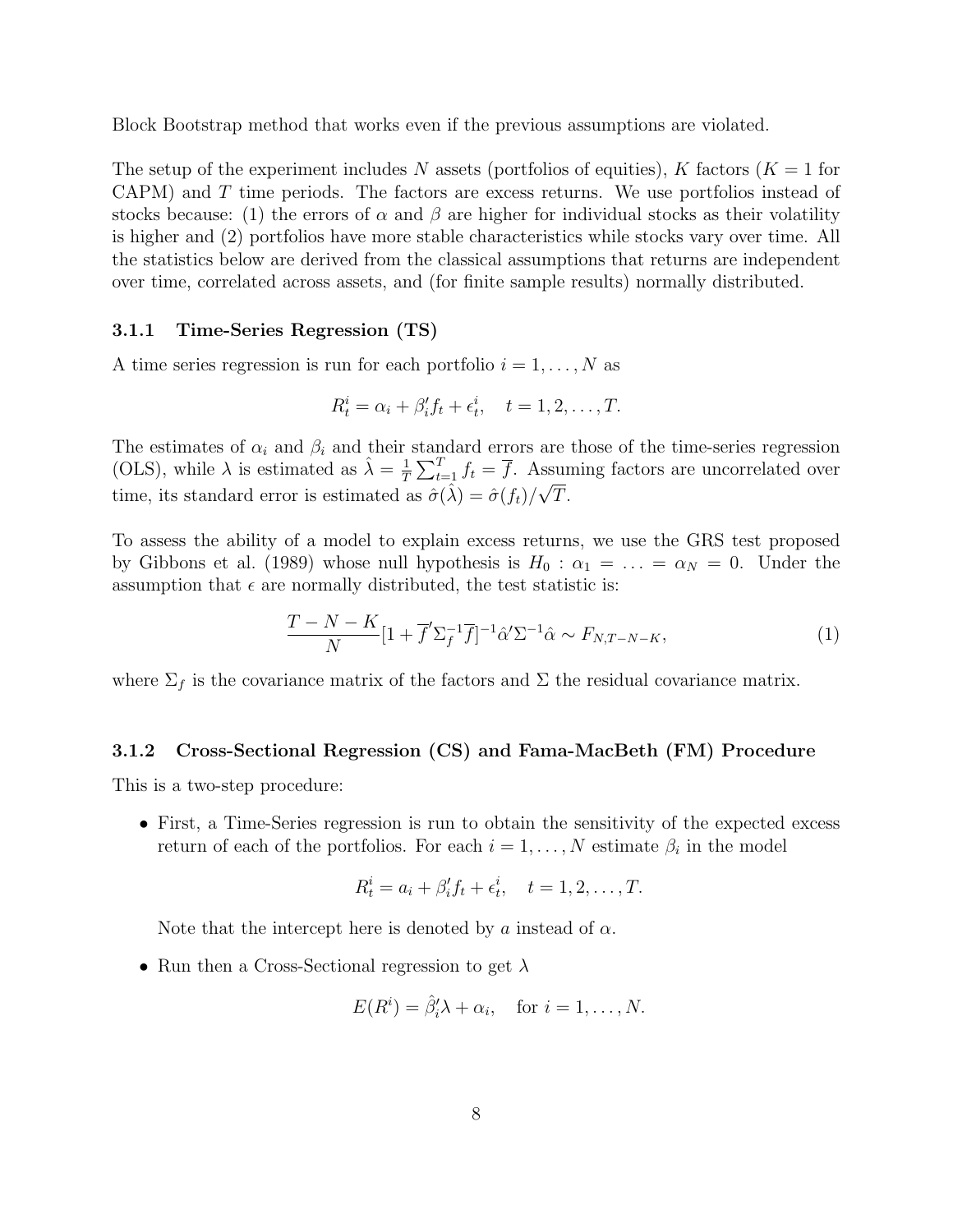Block Bootstrap method that works even if the previous assumptions are violated.

The setup of the experiment includes N assets (portfolios of equities), K factors  $(K = 1$  for CAPM) and T time periods. The factors are excess returns. We use portfolios instead of stocks because: (1) the errors of  $\alpha$  and  $\beta$  are higher for individual stocks as their volatility is higher and (2) portfolios have more stable characteristics while stocks vary over time. All the statistics below are derived from the classical assumptions that returns are independent over time, correlated across assets, and (for finite sample results) normally distributed.

#### 3.1.1 Time-Series Regression (TS)

A time series regression is run for each portfolio  $i = 1, \ldots, N$  as

$$
R_t^i = \alpha_i + \beta_i' f_t + \epsilon_t^i, \quad t = 1, 2, \dots, T.
$$

The estimates of  $\alpha_i$  and  $\beta_i$  and their standard errors are those of the time-series regression (OLS), while  $\lambda$  is estimated as  $\hat{\lambda} = \frac{1}{7}$  $\frac{1}{T} \sum_{t=1}^{T} f_t = \overline{f}$ . Assuming factors are uncorrelated over time, its standard error is estimated as  $\hat{\sigma}(\hat{\lambda}) = \hat{\sigma}(f_t)/\sqrt{T}$ .

To assess the ability of a model to explain excess returns, we use the GRS test proposed by Gibbons et al. (1989) whose null hypothesis is  $H_0$ :  $\alpha_1 = \ldots = \alpha_N = 0$ . Under the assumption that  $\epsilon$  are normally distributed, the test statistic is:

$$
\frac{T - N - K}{N} \left[ 1 + \overline{f}' \Sigma_f^{-1} \overline{f} \right]^{-1} \hat{\alpha}' \Sigma^{-1} \hat{\alpha} \sim F_{N, T - N - K},\tag{1}
$$

where  $\Sigma_f$  is the covariance matrix of the factors and  $\Sigma$  the residual covariance matrix.

#### 3.1.2 Cross-Sectional Regression (CS) and Fama-MacBeth (FM) Procedure

This is a two-step procedure:

• First, a Time-Series regression is run to obtain the sensitivity of the expected excess return of each of the portfolios. For each  $i = 1, \ldots, N$  estimate  $\beta_i$  in the model

$$
R_t^i = a_i + \beta'_i f_t + \epsilon_t^i, \quad t = 1, 2, \dots, T.
$$

Note that the intercept here is denoted by a instead of  $\alpha$ .

• Run then a Cross-Sectional regression to get  $\lambda$ 

$$
E(Ri) = \hat{\beta}'_i \lambda + \alpha_i, \text{ for } i = 1, ..., N.
$$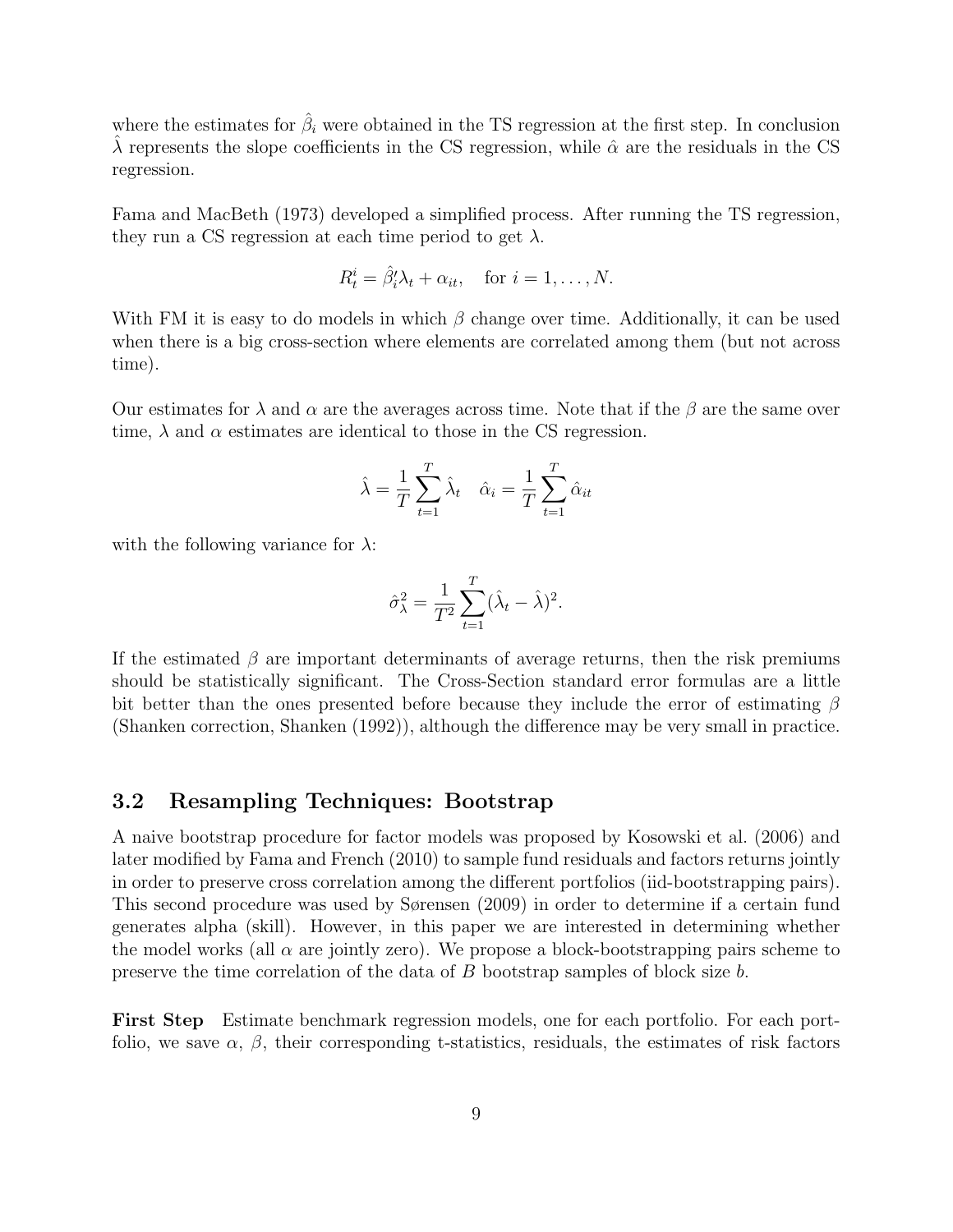where the estimates for  $\hat{\beta}_i$  were obtained in the TS regression at the first step. In conclusion  $\lambda$  represents the slope coefficients in the CS regression, while  $\hat{\alpha}$  are the residuals in the CS regression.

Fama and MacBeth (1973) developed a simplified process. After running the TS regression, they run a CS regression at each time period to get  $\lambda$ .

$$
R_t^i = \hat{\beta}_i' \lambda_t + \alpha_{it}, \quad \text{for } i = 1, \dots, N.
$$

With FM it is easy to do models in which  $\beta$  change over time. Additionally, it can be used when there is a big cross-section where elements are correlated among them (but not across time).

Our estimates for  $\lambda$  and  $\alpha$  are the averages across time. Note that if the  $\beta$  are the same over time,  $\lambda$  and  $\alpha$  estimates are identical to those in the CS regression.

$$
\hat{\lambda} = \frac{1}{T} \sum_{t=1}^{T} \hat{\lambda}_t \quad \hat{\alpha}_i = \frac{1}{T} \sum_{t=1}^{T} \hat{\alpha}_{it}
$$

with the following variance for  $\lambda$ :

$$
\hat{\sigma}_{\lambda}^2 = \frac{1}{T^2} \sum_{t=1}^T (\hat{\lambda}_t - \hat{\lambda})^2.
$$

If the estimated  $\beta$  are important determinants of average returns, then the risk premiums should be statistically significant. The Cross-Section standard error formulas are a little bit better than the ones presented before because they include the error of estimating  $\beta$ (Shanken correction, Shanken (1992)), although the difference may be very small in practice.

### 3.2 Resampling Techniques: Bootstrap

A naive bootstrap procedure for factor models was proposed by Kosowski et al. (2006) and later modified by Fama and French (2010) to sample fund residuals and factors returns jointly in order to preserve cross correlation among the different portfolios (iid-bootstrapping pairs). This second procedure was used by Sørensen (2009) in order to determine if a certain fund generates alpha (skill). However, in this paper we are interested in determining whether the model works (all  $\alpha$  are jointly zero). We propose a block-bootstrapping pairs scheme to preserve the time correlation of the data of B bootstrap samples of block size b.

First Step Estimate benchmark regression models, one for each portfolio. For each portfolio, we save  $\alpha$ ,  $\beta$ , their corresponding t-statistics, residuals, the estimates of risk factors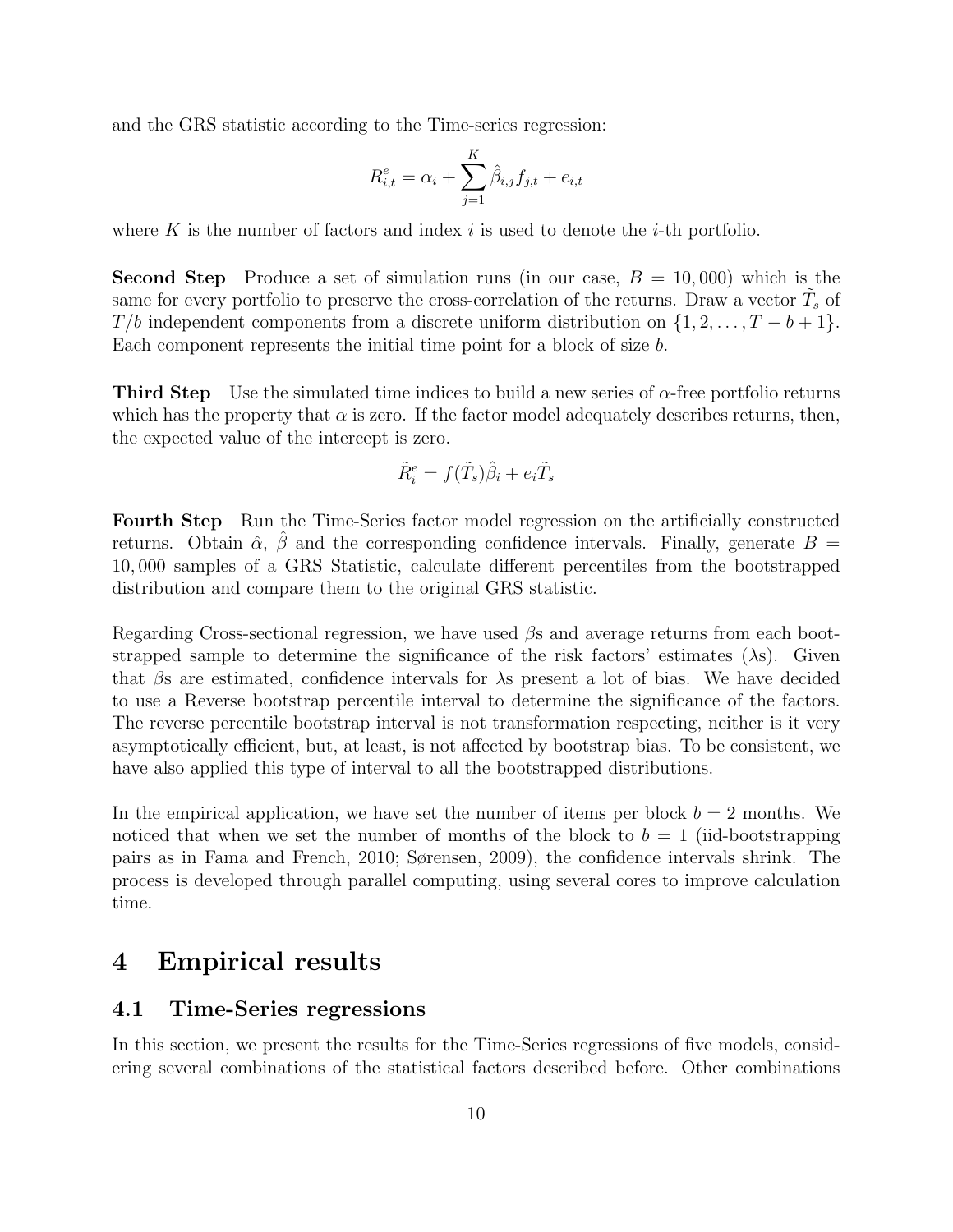and the GRS statistic according to the Time-series regression:

$$
R_{i,t}^{e} = \alpha_i + \sum_{j=1}^{K} \hat{\beta}_{i,j} f_{j,t} + e_{i,t}
$$

where K is the number of factors and index i is used to denote the i-th portfolio.

**Second Step** Produce a set of simulation runs (in our case,  $B = 10,000$ ) which is the same for every portfolio to preserve the cross-correlation of the returns. Draw a vector  $\tilde{T}_s$  of  $T/b$  independent components from a discrete uniform distribution on  $\{1, 2, \ldots, T-b+1\}$ . Each component represents the initial time point for a block of size b.

**Third Step** Use the simulated time indices to build a new series of  $\alpha$ -free portfolio returns which has the property that  $\alpha$  is zero. If the factor model adequately describes returns, then, the expected value of the intercept is zero.

$$
\tilde{R}_i^e = f(\tilde{T}_s)\hat{\beta}_i + e_i \tilde{T}_s
$$

Fourth Step Run the Time-Series factor model regression on the artificially constructed returns. Obtain  $\hat{\alpha}$ ,  $\beta$  and the corresponding confidence intervals. Finally, generate  $B =$ 10, 000 samples of a GRS Statistic, calculate different percentiles from the bootstrapped distribution and compare them to the original GRS statistic.

Regarding Cross-sectional regression, we have used  $\beta$ s and average returns from each bootstrapped sample to determine the significance of the risk factors' estimates  $(\lambda s)$ . Given that βs are estimated, confidence intervals for λs present a lot of bias. We have decided to use a Reverse bootstrap percentile interval to determine the significance of the factors. The reverse percentile bootstrap interval is not transformation respecting, neither is it very asymptotically efficient, but, at least, is not affected by bootstrap bias. To be consistent, we have also applied this type of interval to all the bootstrapped distributions.

In the empirical application, we have set the number of items per block  $b = 2$  months. We noticed that when we set the number of months of the block to  $b = 1$  (iid-bootstrapping pairs as in Fama and French, 2010; Sørensen, 2009), the confidence intervals shrink. The process is developed through parallel computing, using several cores to improve calculation time.

## 4 Empirical results

### 4.1 Time-Series regressions

In this section, we present the results for the Time-Series regressions of five models, considering several combinations of the statistical factors described before. Other combinations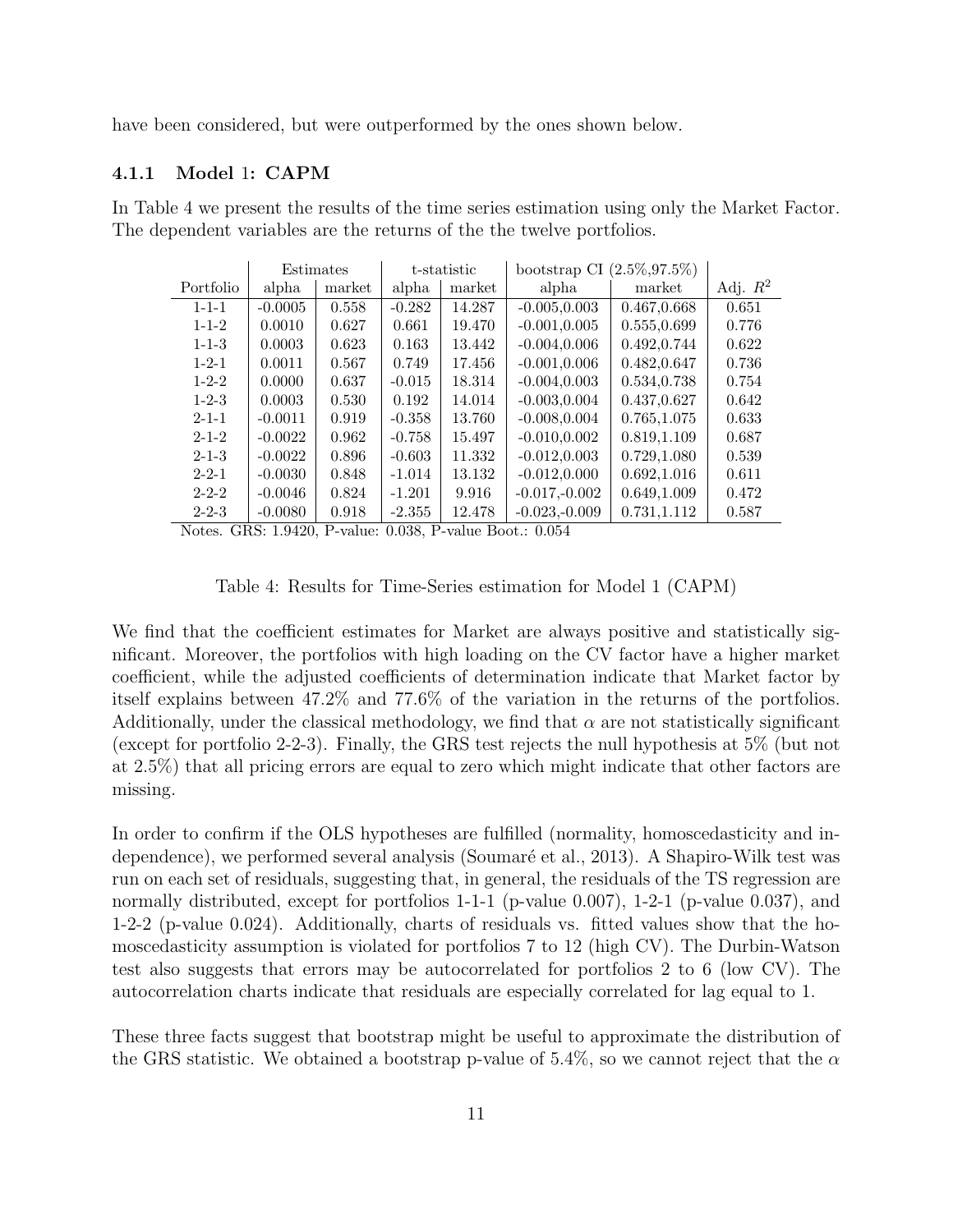have been considered, but were outperformed by the ones shown below.

#### 4.1.1 Model 1: CAPM

In Table 4 we present the results of the time series estimation using only the Market Factor. The dependent variables are the returns of the the twelve portfolios.

|             | Estimates |        | t-statistic |        | $(2.5\%, 97.5\%)$<br>bootstrap CI |              |            |
|-------------|-----------|--------|-------------|--------|-----------------------------------|--------------|------------|
| Portfolio   | alpha     | market | alpha       | market | alpha                             | market       | Adj. $R^2$ |
| $1 - 1 - 1$ | $-0.0005$ | 0.558  | $-0.282$    | 14.287 | $-0.005, 0.003$                   | 0.467,0.668  | 0.651      |
| $1 - 1 - 2$ | 0.0010    | 0.627  | 0.661       | 19.470 | $-0.001, 0.005$                   | 0.555,0.699  | 0.776      |
| $1 - 1 - 3$ | 0.0003    | 0.623  | 0.163       | 13.442 | $-0.004, 0.006$                   | 0.492,0.744  | 0.622      |
| $1 - 2 - 1$ | 0.0011    | 0.567  | 0.749       | 17.456 | $-0.001, 0.006$                   | 0.482,0.647  | 0.736      |
| $1 - 2 - 2$ | 0.0000    | 0.637  | $-0.015$    | 18.314 | $-0.004, 0.003$                   | 0.534,0.738  | 0.754      |
| $1 - 2 - 3$ | 0.0003    | 0.530  | 0.192       | 14.014 | $-0.003, 0.004$                   | 0.437,0.627  | 0.642      |
| $2 - 1 - 1$ | $-0.0011$ | 0.919  | $-0.358$    | 13.760 | $-0.008, 0.004$                   | 0.765,1.075  | 0.633      |
| $2 - 1 - 2$ | $-0.0022$ | 0.962  | $-0.758$    | 15.497 | $-0.010, 0.002$                   | 0.819,1.109  | 0.687      |
| $2 - 1 - 3$ | $-0.0022$ | 0.896  | $-0.603$    | 11.332 | $-0.012, 0.003$                   | 0.729,1.080  | 0.539      |
| $2 - 2 - 1$ | $-0.0030$ | 0.848  | $-1.014$    | 13.132 | $-0.012, 0.000$                   | 0.692, 1.016 | 0.611      |
| $2 - 2 - 2$ | $-0.0046$ | 0.824  | $-1.201$    | 9.916  | $-0.017,-0.002$                   | 0.649,1.009  | 0.472      |
| $2 - 2 - 3$ | $-0.0080$ | 0.918  | $-2.355$    | 12.478 | $-0.023,-0.009$                   | 0.731,1.112  | 0.587      |

Notes. GRS: 1.9420, P-value: 0.038, P-value Boot.: 0.054

Table 4: Results for Time-Series estimation for Model 1 (CAPM)

We find that the coefficient estimates for Market are always positive and statistically significant. Moreover, the portfolios with high loading on the CV factor have a higher market coefficient, while the adjusted coefficients of determination indicate that Market factor by itself explains between 47.2% and 77.6% of the variation in the returns of the portfolios. Additionally, under the classical methodology, we find that  $\alpha$  are not statistically significant (except for portfolio 2-2-3). Finally, the GRS test rejects the null hypothesis at 5% (but not at 2.5%) that all pricing errors are equal to zero which might indicate that other factors are missing.

In order to confirm if the OLS hypotheses are fulfilled (normality, homoscedasticity and independence), we performed several analysis (Soumaré et al., 2013). A Shapiro-Wilk test was run on each set of residuals, suggesting that, in general, the residuals of the TS regression are normally distributed, except for portfolios 1-1-1 (p-value 0.007), 1-2-1 (p-value 0.037), and 1-2-2 (p-value 0.024). Additionally, charts of residuals vs. fitted values show that the homoscedasticity assumption is violated for portfolios 7 to 12 (high CV). The Durbin-Watson test also suggests that errors may be autocorrelated for portfolios 2 to 6 (low CV). The autocorrelation charts indicate that residuals are especially correlated for lag equal to 1.

These three facts suggest that bootstrap might be useful to approximate the distribution of the GRS statistic. We obtained a bootstrap p-value of 5.4%, so we cannot reject that the  $\alpha$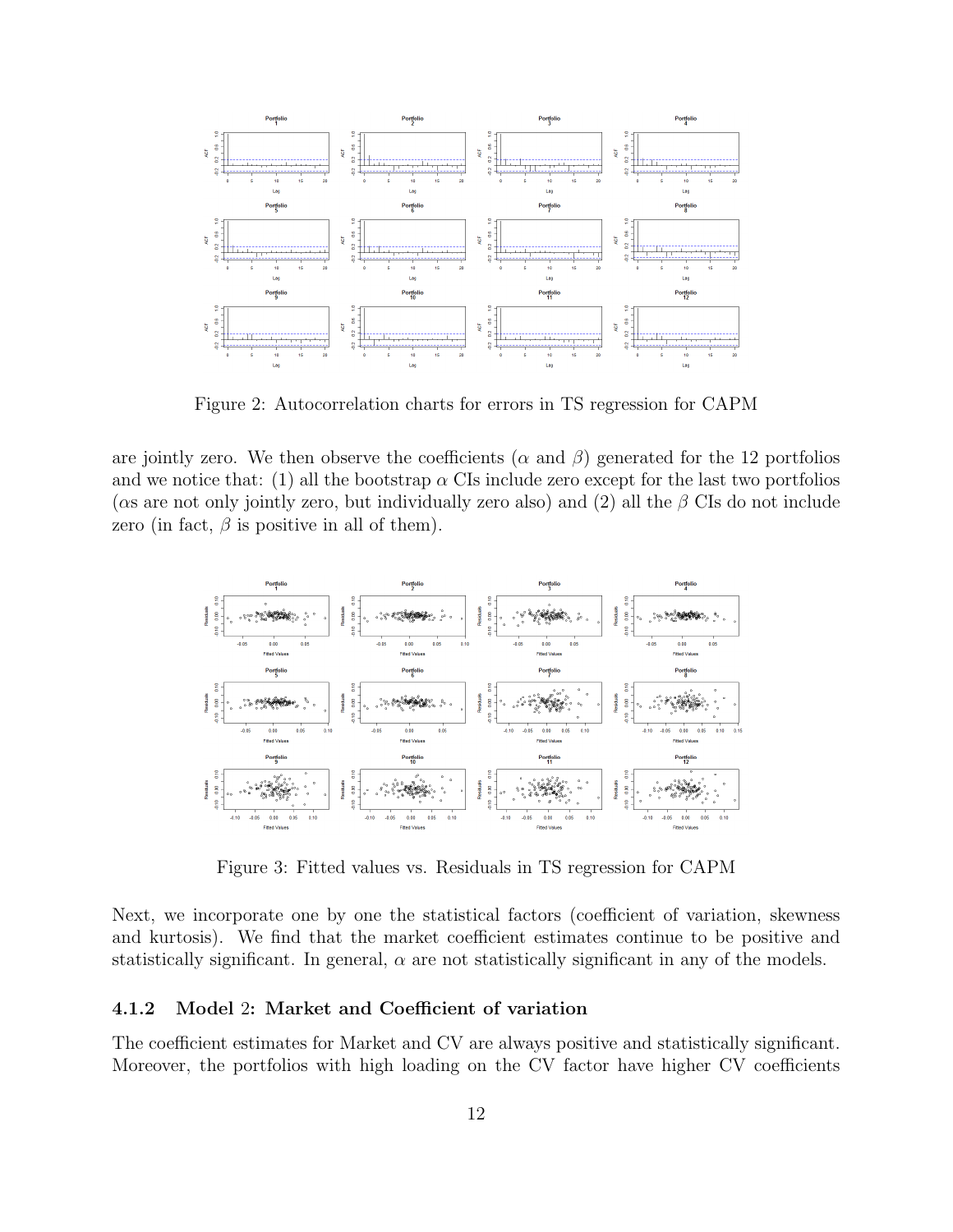

Figure 2: Autocorrelation charts for errors in TS regression for CAPM

are jointly zero. We then observe the coefficients ( $\alpha$  and  $\beta$ ) generated for the 12 portfolios and we notice that: (1) all the bootstrap  $\alpha$  CIs include zero except for the last two portfolios ( $\alpha$ s are not only jointly zero, but individually zero also) and (2) all the  $\beta$  CIs do not include zero (in fact,  $\beta$  is positive in all of them).



Figure 3: Fitted values vs. Residuals in TS regression for CAPM

Next, we incorporate one by one the statistical factors (coefficient of variation, skewness and kurtosis). We find that the market coefficient estimates continue to be positive and statistically significant. In general,  $\alpha$  are not statistically significant in any of the models.

#### 4.1.2 Model 2: Market and Coefficient of variation

The coefficient estimates for Market and CV are always positive and statistically significant. Moreover, the portfolios with high loading on the CV factor have higher CV coefficients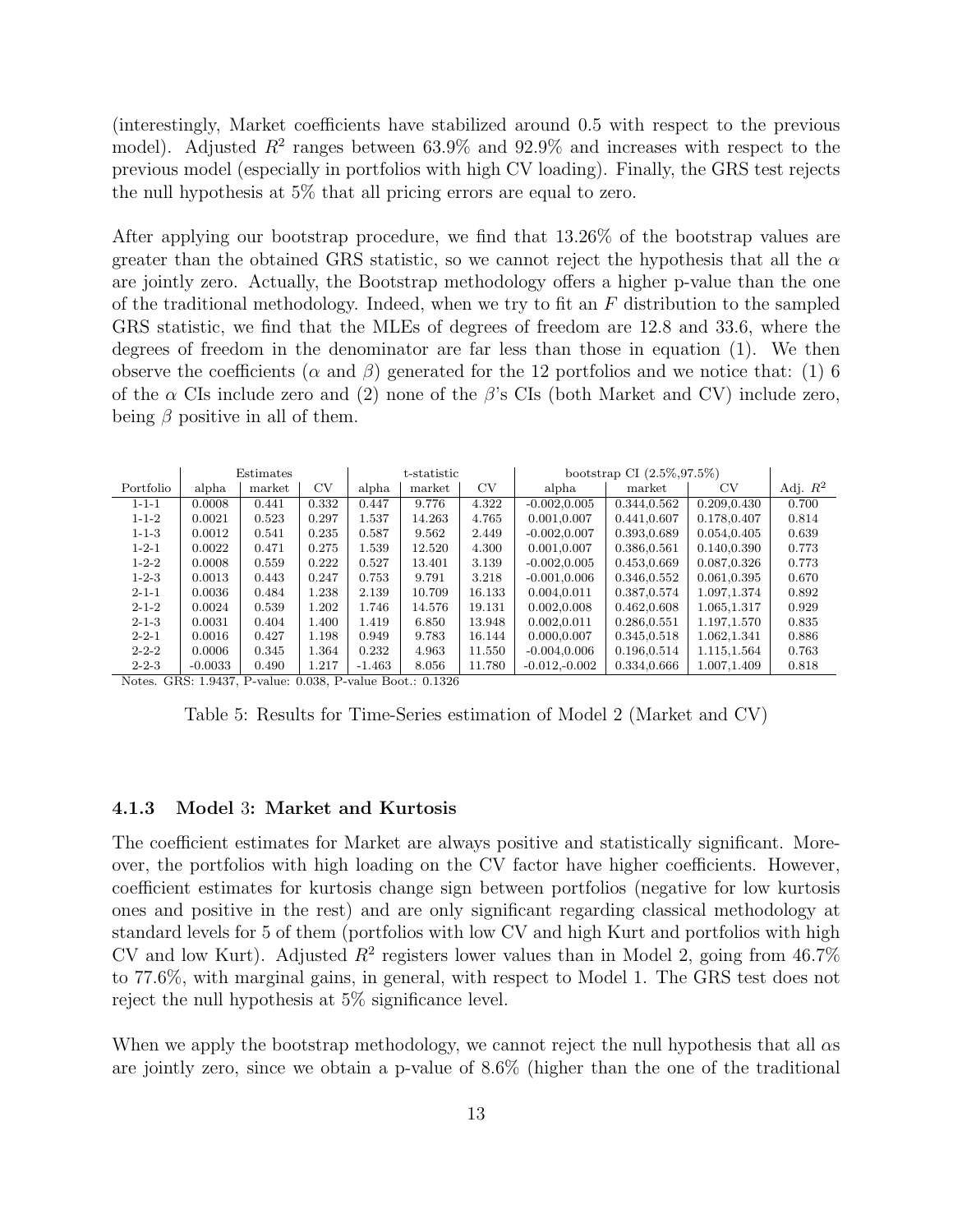(interestingly, Market coefficients have stabilized around 0.5 with respect to the previous model). Adjusted  $R^2$  ranges between 63.9% and 92.9% and increases with respect to the previous model (especially in portfolios with high CV loading). Finally, the GRS test rejects the null hypothesis at 5% that all pricing errors are equal to zero.

After applying our bootstrap procedure, we find that 13.26% of the bootstrap values are greater than the obtained GRS statistic, so we cannot reject the hypothesis that all the  $\alpha$ are jointly zero. Actually, the Bootstrap methodology offers a higher p-value than the one of the traditional methodology. Indeed, when we try to fit an  $F$  distribution to the sampled GRS statistic, we find that the MLEs of degrees of freedom are 12.8 and 33.6, where the degrees of freedom in the denominator are far less than those in equation (1). We then observe the coefficients ( $\alpha$  and  $\beta$ ) generated for the 12 portfolios and we notice that: (1) 6 of the  $\alpha$  CIs include zero and (2) none of the  $\beta$ 's CIs (both Market and CV) include zero, being  $\beta$  positive in all of them.

|             |           | Estimates |       | t-statistic |        |        | bootstrap CI $(2.5\%, 97.5\%)$ |             |              |            |
|-------------|-----------|-----------|-------|-------------|--------|--------|--------------------------------|-------------|--------------|------------|
| Portfolio   | alpha     | market    | CV    | alpha       | market | CV     | alpha                          | market      | CV           | Adj. $R^2$ |
| $1 - 1 - 1$ | 0.0008    | 0.441     | 0.332 | 0.447       | 9.776  | 4.322  | $-0.002, 0.005$                | 0.344,0.562 | 0.209,0.430  | 0.700      |
| $1 - 1 - 2$ | 0.0021    | 0.523     | 0.297 | 1.537       | 14.263 | 4.765  | 0.001,0.007                    | 0.441,0.607 | 0.178,0.407  | 0.814      |
| $1 - 1 - 3$ | 0.0012    | 0.541     | 0.235 | 0.587       | 9.562  | 2.449  | $-0.002, 0.007$                | 0.393,0.689 | 0.054,0.405  | 0.639      |
| $1 - 2 - 1$ | 0.0022    | 0.471     | 0.275 | 1.539       | 12.520 | 4.300  | 0.001,0.007                    | 0.386,0.561 | 0.140.0.390  | 0.773      |
| $1 - 2 - 2$ | 0.0008    | 0.559     | 0.222 | 0.527       | 13.401 | 3.139  | $-0.002, 0.005$                | 0.453,0.669 | 0.087,0.326  | 0.773      |
| $1 - 2 - 3$ | 0.0013    | 0.443     | 0.247 | 0.753       | 9.791  | 3.218  | $-0.001, 0.006$                | 0.346,0.552 | 0.061,0.395  | 0.670      |
| $2 - 1 - 1$ | 0.0036    | 0.484     | 1.238 | 2.139       | 10.709 | 16.133 | 0.004,0.011                    | 0.387,0.574 | 1.097,1.374  | 0.892      |
| $2 - 1 - 2$ | 0.0024    | 0.539     | 1.202 | 1.746       | 14.576 | 19.131 | 0.002,0.008                    | 0.462,0.608 | 1.065, 1.317 | 0.929      |
| $2 - 1 - 3$ | 0.0031    | 0.404     | 1.400 | 1.419       | 6.850  | 13.948 | 0.002.0.011                    | 0.286,0.551 | 1.197, 1.570 | 0.835      |
| $2 - 2 - 1$ | 0.0016    | 0.427     | 1.198 | 0.949       | 9.783  | 16.144 | 0.000,0.007                    | 0.345,0.518 | 1.062, 1.341 | 0.886      |
| $2 - 2 - 2$ | 0.0006    | 0.345     | 1.364 | 0.232       | 4.963  | 11.550 | $-0.004, 0.006$                | 0.196,0.514 | 1.115,1.564  | 0.763      |
| $2 - 2 - 3$ | $-0.0033$ | 0.490     | 1.217 | $-1.463$    | 8.056  | 11.780 | $-0.012,-0.002$                | 0.334,0.666 | 1.007.1.409  | 0.818      |

Notes. GRS: 1.9437, P-value: 0.038, P-value Boot.: 0.1326

Table 5: Results for Time-Series estimation of Model 2 (Market and CV)

#### 4.1.3 Model 3: Market and Kurtosis

The coefficient estimates for Market are always positive and statistically significant. Moreover, the portfolios with high loading on the CV factor have higher coefficients. However, coefficient estimates for kurtosis change sign between portfolios (negative for low kurtosis ones and positive in the rest) and are only significant regarding classical methodology at standard levels for 5 of them (portfolios with low CV and high Kurt and portfolios with high CV and low Kurt). Adjusted  $R^2$  registers lower values than in Model 2, going from 46.7% to 77.6%, with marginal gains, in general, with respect to Model 1. The GRS test does not reject the null hypothesis at 5% significance level.

When we apply the bootstrap methodology, we cannot reject the null hypothesis that all  $\alpha s$ are jointly zero, since we obtain a p-value of 8.6% (higher than the one of the traditional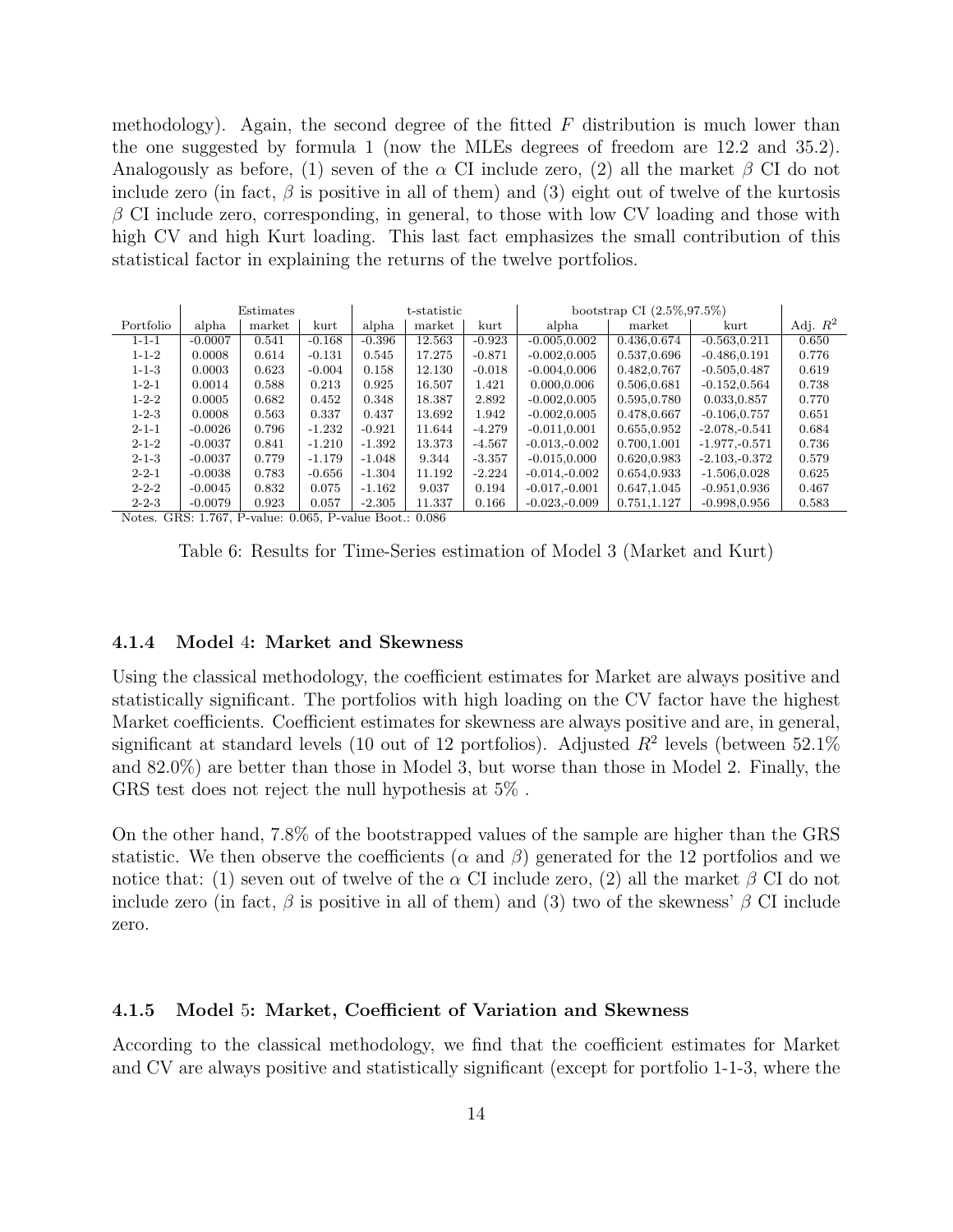methodology). Again, the second degree of the fitted  $F$  distribution is much lower than the one suggested by formula 1 (now the MLEs degrees of freedom are 12.2 and 35.2). Analogously as before, (1) seven of the  $\alpha$  CI include zero, (2) all the market  $\beta$  CI do not include zero (in fact,  $\beta$  is positive in all of them) and (3) eight out of twelve of the kurtosis  $\beta$  CI include zero, corresponding, in general, to those with low CV loading and those with high CV and high Kurt loading. This last fact emphasizes the small contribution of this statistical factor in explaining the returns of the twelve portfolios.

|             |           | Estimates |          | t-statistic |        |          | bootstrap CI $(2.5\%, 97.5\%)$ |              |                 |            |
|-------------|-----------|-----------|----------|-------------|--------|----------|--------------------------------|--------------|-----------------|------------|
| Portfolio   | alpha     | market    | kurt     | alpha       | market | kurt     | alpha                          | market       | kurt            | Adj. $R^2$ |
| $1 - 1 - 1$ | $-0.0007$ | 0.541     | $-0.168$ | $-0.396$    | 12.563 | $-0.923$ | $-0.005, 0.002$                | 0.436,0.674  | $-0.563.0.211$  | 0.650      |
| $1 - 1 - 2$ | 0.0008    | 0.614     | $-0.131$ | 0.545       | 17.275 | $-0.871$ | $-0.002, 0.005$                | 0.537,0.696  | $-0.486, 0.191$ | 0.776      |
| $1 - 1 - 3$ | 0.0003    | 0.623     | $-0.004$ | 0.158       | 12.130 | $-0.018$ | $-0.004, 0.006$                | 0.482,0.767  | $-0.505.0.487$  | 0.619      |
| $1 - 2 - 1$ | 0.0014    | 0.588     | 0.213    | 0.925       | 16.507 | 1.421    | 0.000,0.006                    | 0.506,0.681  | $-0.152.0.564$  | 0.738      |
| $1 - 2 - 2$ | 0.0005    | 0.682     | 0.452    | 0.348       | 18.387 | 2.892    | $-0.002, 0.005$                | 0.595,0.780  | 0.033,0.857     | 0.770      |
| $1 - 2 - 3$ | 0.0008    | 0.563     | 0.337    | 0.437       | 13.692 | 1.942    | $-0.002, 0.005$                | 0.478,0.667  | $-0.106, 0.757$ | 0.651      |
| $2 - 1 - 1$ | $-0.0026$ | 0.796     | $-1.232$ | $-0.921$    | 11.644 | $-4.279$ | $-0.011, 0.001$                | 0.655,0.952  | $-2.078,-0.541$ | 0.684      |
| $2 - 1 - 2$ | $-0.0037$ | 0.841     | $-1.210$ | $-1.392$    | 13.373 | $-4.567$ | $-0.013,-0.002$                | 0.700,1.001  | $-1.977,-0.571$ | 0.736      |
| $2 - 1 - 3$ | $-0.0037$ | 0.779     | $-1.179$ | $-1.048$    | 9.344  | $-3.357$ | $-0.015, 0.000$                | 0.620.0.983  | $-2.103,-0.372$ | 0.579      |
| $2 - 2 - 1$ | $-0.0038$ | 0.783     | $-0.656$ | $-1.304$    | 11.192 | $-2.224$ | $-0.014,-0.002$                | 0.654,0.933  | $-1.506, 0.028$ | 0.625      |
| $2 - 2 - 2$ | $-0.0045$ | 0.832     | 0.075    | $-1.162$    | 9.037  | 0.194    | $-0.017,-0.001$                | 0.647, 1.045 | $-0.951, 0.936$ | 0.467      |
| $2 - 2 - 3$ | $-0.0079$ | 0.923     | 0.057    | $-2.305$    | 11.337 | 0.166    | $-0.023,-0.009$                | 0.751,1.127  | $-0.998, 0.956$ | 0.583      |

Notes. GRS: 1.767, P-value: 0.065, P-value Boot.: 0.086

Table 6: Results for Time-Series estimation of Model 3 (Market and Kurt)

#### 4.1.4 Model 4: Market and Skewness

Using the classical methodology, the coefficient estimates for Market are always positive and statistically significant. The portfolios with high loading on the CV factor have the highest Market coefficients. Coefficient estimates for skewness are always positive and are, in general, significant at standard levels (10 out of 12 portfolios). Adjusted  $R^2$  levels (between 52.1%) and 82.0%) are better than those in Model 3, but worse than those in Model 2. Finally, the GRS test does not reject the null hypothesis at 5% .

On the other hand, 7.8% of the bootstrapped values of the sample are higher than the GRS statistic. We then observe the coefficients ( $\alpha$  and  $\beta$ ) generated for the 12 portfolios and we notice that: (1) seven out of twelve of the  $\alpha$  CI include zero, (2) all the market  $\beta$  CI do not include zero (in fact,  $\beta$  is positive in all of them) and (3) two of the skewness'  $\beta$  CI include zero.

#### 4.1.5 Model 5: Market, Coefficient of Variation and Skewness

According to the classical methodology, we find that the coefficient estimates for Market and CV are always positive and statistically significant (except for portfolio 1-1-3, where the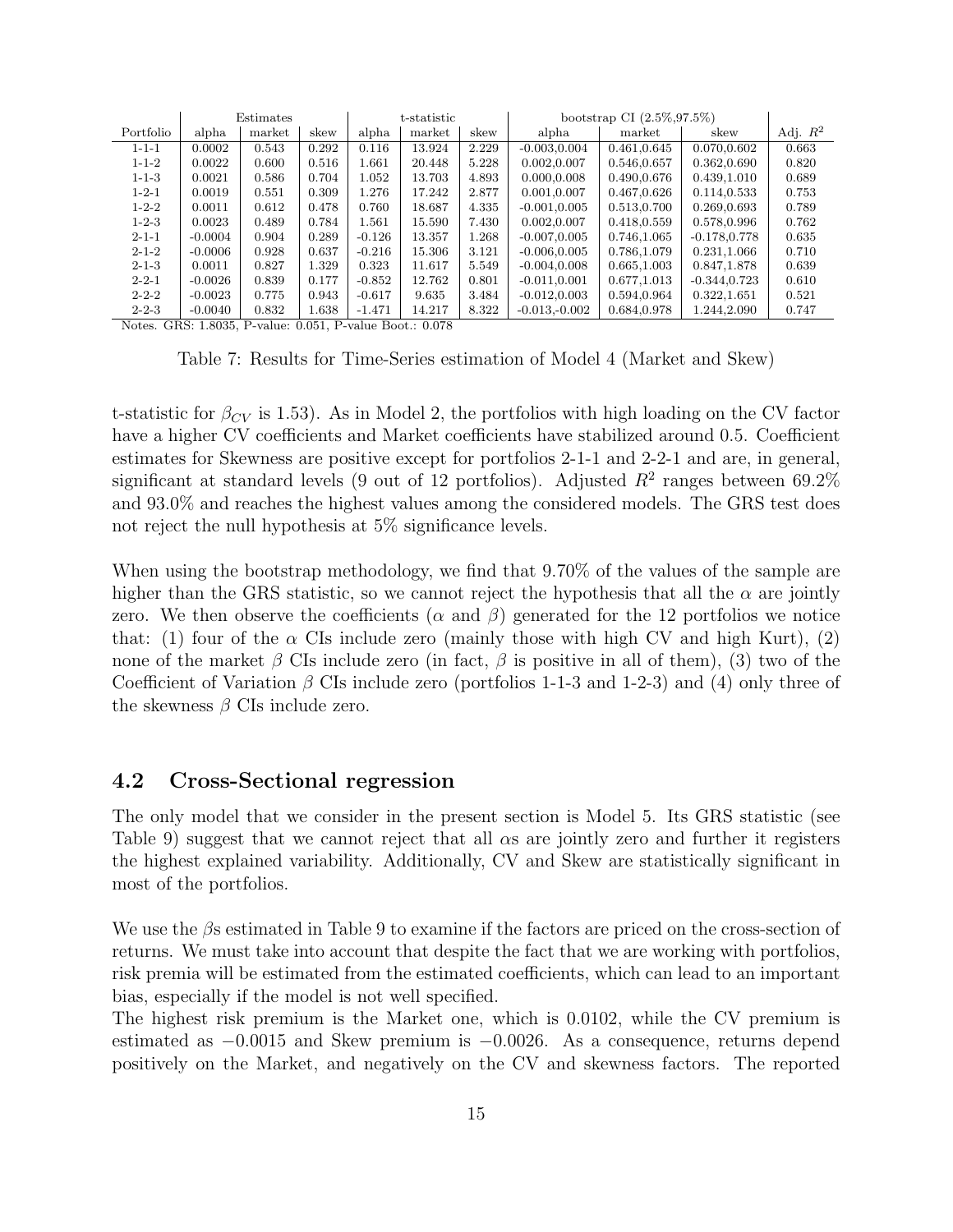|             |           | Estimates |       | t-statistic |        |       | bootstrap CI $(2.5\%, 97.5\%)$ |             |                 |            |
|-------------|-----------|-----------|-------|-------------|--------|-------|--------------------------------|-------------|-----------------|------------|
| Portfolio   | alpha     | market    | skew  | alpha       | market | skew  | alpha                          | market      | skew            | Adj. $R^2$ |
| $1 - 1 - 1$ | 0.0002    | 0.543     | 0.292 | 0.116       | 13.924 | 2.229 | $-0.003, 0.004$                | 0.461,0.645 | 0.070,0.602     | 0.663      |
| $1 - 1 - 2$ | 0.0022    | 0.600     | 0.516 | 1.661       | 20.448 | 5.228 | 0.002,0.007                    | 0.546,0.657 | 0.362,0.690     | 0.820      |
| $1 - 1 - 3$ | 0.0021    | 0.586     | 0.704 | 1.052       | 13.703 | 4.893 | 0.000,0.008                    | 0.490,0.676 | 0.439,1.010     | 0.689      |
| $1 - 2 - 1$ | 0.0019    | 0.551     | 0.309 | 1.276       | 17.242 | 2.877 | 0.001,0.007                    | 0.467,0.626 | 0.114,0.533     | 0.753      |
| $1 - 2 - 2$ | 0.0011    | 0.612     | 0.478 | 0.760       | 18.687 | 4.335 | $-0.001, 0.005$                | 0.513,0.700 | 0.269,0.693     | 0.789      |
| $1 - 2 - 3$ | 0.0023    | 0.489     | 0.784 | 1.561       | 15.590 | 7.430 | 0.002,0.007                    | 0.418,0.559 | 0.578,0.996     | 0.762      |
| $2 - 1 - 1$ | $-0.0004$ | 0.904     | 0.289 | $-0.126$    | 13.357 | 1.268 | $-0.007, 0.005$                | 0.746.1.065 | $-0.178.0.778$  | 0.635      |
| $2 - 1 - 2$ | $-0.0006$ | 0.928     | 0.637 | $-0.216$    | 15.306 | 3.121 | $-0.006, 0.005$                | 0.786.1.079 | 0.231,1.066     | 0.710      |
| $2 - 1 - 3$ | 0.0011    | 0.827     | 1.329 | 0.323       | 11.617 | 5.549 | $-0.004, 0.008$                | 0.665,1.003 | 0.847,1.878     | 0.639      |
| $2 - 2 - 1$ | $-0.0026$ | 0.839     | 0.177 | $-0.852$    | 12.762 | 0.801 | $-0.011, 0.001$                | 0.677,1.013 | $-0.344, 0.723$ | 0.610      |
| $2 - 2 - 2$ | $-0.0023$ | 0.775     | 0.943 | $-0.617$    | 9.635  | 3.484 | $-0.012, 0.003$                | 0.594.0.964 | 0.322,1.651     | 0.521      |
| $2 - 2 - 3$ | $-0.0040$ | 0.832     | 1.638 | $-1.471$    | 14.217 | 8.322 | $-0.013,-0.002$                | 0.684,0.978 | 1.244.2.090     | 0.747      |

Notes. GRS: 1.8035, P-value: 0.051, P-value Boot.: 0.078

Table 7: Results for Time-Series estimation of Model 4 (Market and Skew)

t-statistic for  $\beta_{CV}$  is 1.53). As in Model 2, the portfolios with high loading on the CV factor have a higher CV coefficients and Market coefficients have stabilized around 0.5. Coefficient estimates for Skewness are positive except for portfolios 2-1-1 and 2-2-1 and are, in general, significant at standard levels (9 out of 12 portfolios). Adjusted  $R^2$  ranges between 69.2% and 93.0% and reaches the highest values among the considered models. The GRS test does not reject the null hypothesis at 5% significance levels.

When using the bootstrap methodology, we find that 9.70% of the values of the sample are higher than the GRS statistic, so we cannot reject the hypothesis that all the  $\alpha$  are jointly zero. We then observe the coefficients ( $\alpha$  and  $\beta$ ) generated for the 12 portfolios we notice that: (1) four of the  $\alpha$  CIs include zero (mainly those with high CV and high Kurt), (2) none of the market  $\beta$  CIs include zero (in fact,  $\beta$  is positive in all of them), (3) two of the Coefficient of Variation  $\beta$  CIs include zero (portfolios 1-1-3 and 1-2-3) and (4) only three of the skewness  $\beta$  CIs include zero.

### 4.2 Cross-Sectional regression

The only model that we consider in the present section is Model 5. Its GRS statistic (see Table 9) suggest that we cannot reject that all  $\alpha s$  are jointly zero and further it registers the highest explained variability. Additionally, CV and Skew are statistically significant in most of the portfolios.

We use the βs estimated in Table 9 to examine if the factors are priced on the cross-section of returns. We must take into account that despite the fact that we are working with portfolios, risk premia will be estimated from the estimated coefficients, which can lead to an important bias, especially if the model is not well specified.

The highest risk premium is the Market one, which is 0.0102, while the CV premium is estimated as −0.0015 and Skew premium is −0.0026. As a consequence, returns depend positively on the Market, and negatively on the CV and skewness factors. The reported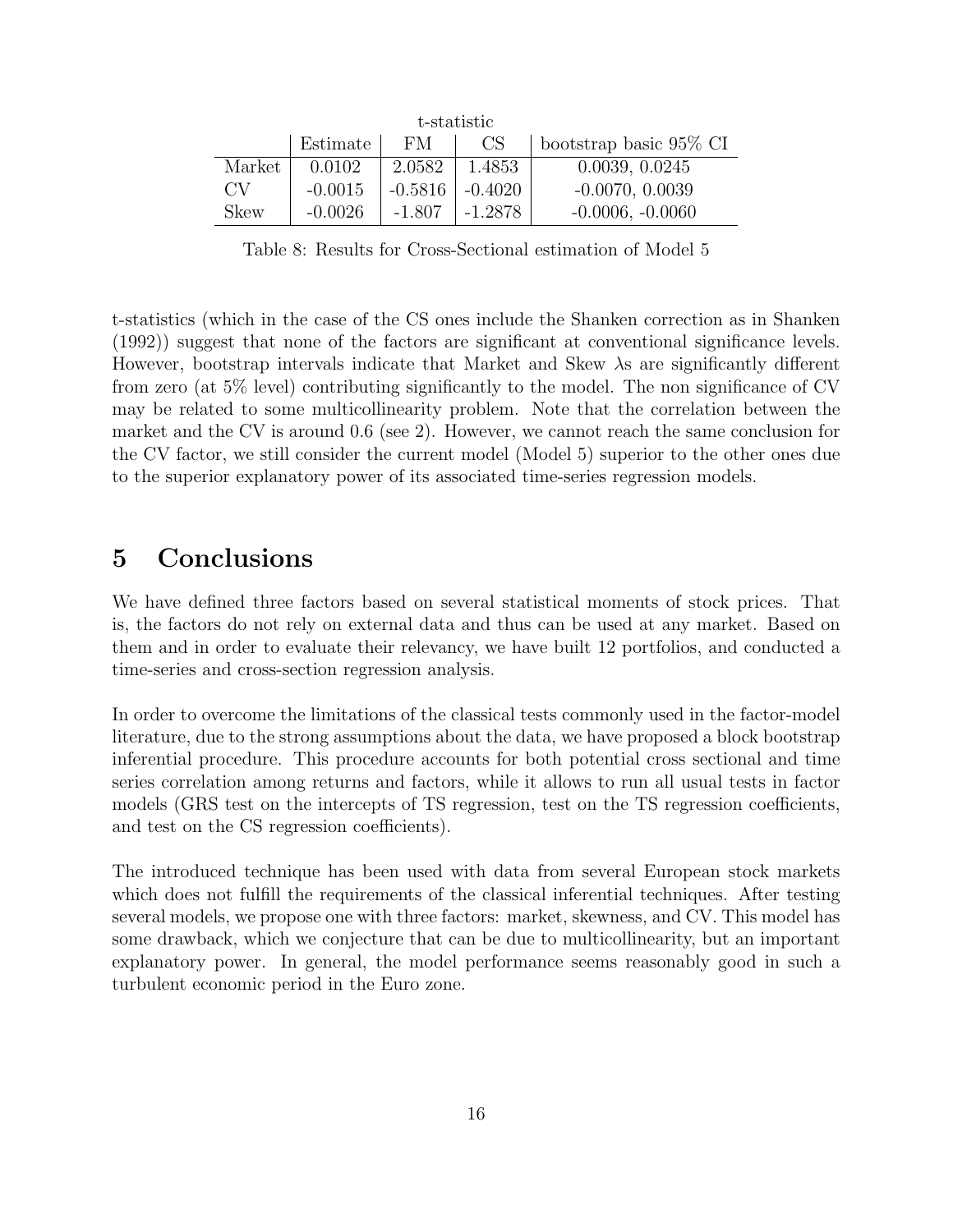|        |           |           | t-statistic |                         |
|--------|-----------|-----------|-------------|-------------------------|
|        | Estimate  | <b>FM</b> | CS.         | bootstrap basic 95\% CI |
| Market | 0.0102    | 2.0582    | 1.4853      | 0.0039, 0.0245          |
| CV     | $-0.0015$ | $-0.5816$ | $-0.4020$   | $-0.0070, 0.0039$       |
| Skew   | $-0.0026$ | $-1.807$  | $-1.2878$   | $-0.0006, -0.0060$      |

Table 8: Results for Cross-Sectional estimation of Model 5

t-statistics (which in the case of the CS ones include the Shanken correction as in Shanken (1992)) suggest that none of the factors are significant at conventional significance levels. However, bootstrap intervals indicate that Market and Skew  $\lambda$ s are significantly different from zero (at 5% level) contributing significantly to the model. The non significance of CV may be related to some multicollinearity problem. Note that the correlation between the market and the CV is around 0.6 (see 2). However, we cannot reach the same conclusion for the CV factor, we still consider the current model (Model 5) superior to the other ones due to the superior explanatory power of its associated time-series regression models.

# 5 Conclusions

We have defined three factors based on several statistical moments of stock prices. That is, the factors do not rely on external data and thus can be used at any market. Based on them and in order to evaluate their relevancy, we have built 12 portfolios, and conducted a time-series and cross-section regression analysis.

In order to overcome the limitations of the classical tests commonly used in the factor-model literature, due to the strong assumptions about the data, we have proposed a block bootstrap inferential procedure. This procedure accounts for both potential cross sectional and time series correlation among returns and factors, while it allows to run all usual tests in factor models (GRS test on the intercepts of TS regression, test on the TS regression coefficients, and test on the CS regression coefficients).

The introduced technique has been used with data from several European stock markets which does not fulfill the requirements of the classical inferential techniques. After testing several models, we propose one with three factors: market, skewness, and CV. This model has some drawback, which we conjecture that can be due to multicollinearity, but an important explanatory power. In general, the model performance seems reasonably good in such a turbulent economic period in the Euro zone.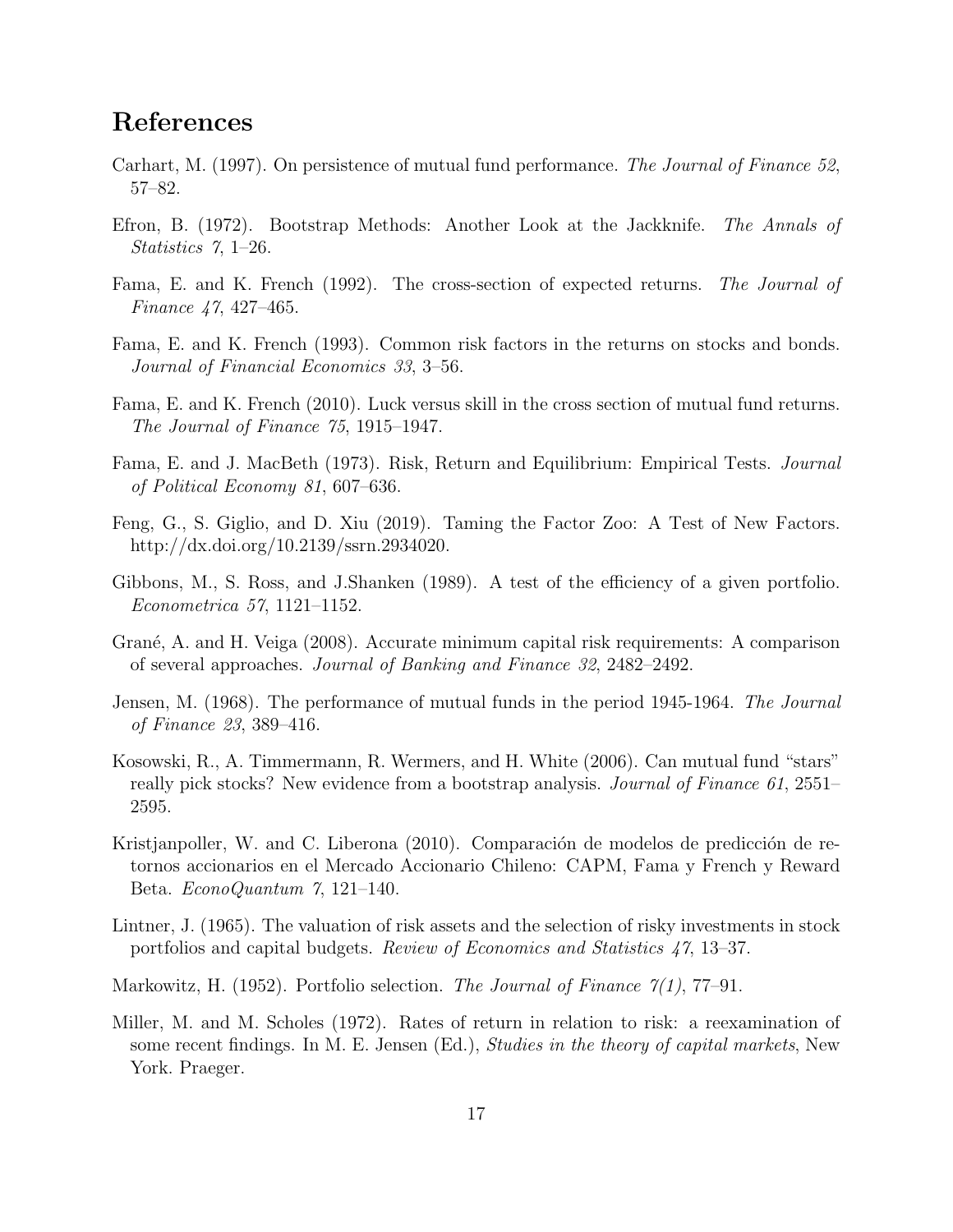# References

- Carhart, M. (1997). On persistence of mutual fund performance. The Journal of Finance 52, 57–82.
- Efron, B. (1972). Bootstrap Methods: Another Look at the Jackknife. The Annals of Statistics 7, 1–26.
- Fama, E. and K. French (1992). The cross-section of expected returns. The Journal of Finance 47, 427–465.
- Fama, E. and K. French (1993). Common risk factors in the returns on stocks and bonds. Journal of Financial Economics 33, 3–56.
- Fama, E. and K. French (2010). Luck versus skill in the cross section of mutual fund returns. The Journal of Finance 75, 1915–1947.
- Fama, E. and J. MacBeth (1973). Risk, Return and Equilibrium: Empirical Tests. Journal of Political Economy 81, 607–636.
- Feng, G., S. Giglio, and D. Xiu (2019). Taming the Factor Zoo: A Test of New Factors. http://dx.doi.org/10.2139/ssrn.2934020.
- Gibbons, M., S. Ross, and J.Shanken (1989). A test of the efficiency of a given portfolio. Econometrica 57, 1121–1152.
- Grané, A. and H. Veiga (2008). Accurate minimum capital risk requirements: A comparison of several approaches. Journal of Banking and Finance 32, 2482–2492.
- Jensen, M. (1968). The performance of mutual funds in the period 1945-1964. The Journal of Finance 23, 389–416.
- Kosowski, R., A. Timmermann, R. Wermers, and H. White (2006). Can mutual fund "stars" really pick stocks? New evidence from a bootstrap analysis. *Journal of Finance 61*, 2551– 2595.
- Kristjanpoller, W. and C. Liberona (2010). Comparación de modelos de predicción de retornos accionarios en el Mercado Accionario Chileno: CAPM, Fama y French y Reward Beta. EconoQuantum 7, 121–140.
- Lintner, J. (1965). The valuation of risk assets and the selection of risky investments in stock portfolios and capital budgets. Review of Economics and Statistics 47, 13–37.
- Markowitz, H. (1952). Portfolio selection. The Journal of Finance  $\gamma(1)$ , 77–91.
- Miller, M. and M. Scholes (1972). Rates of return in relation to risk: a reexamination of some recent findings. In M. E. Jensen (Ed.), Studies in the theory of capital markets, New York. Praeger.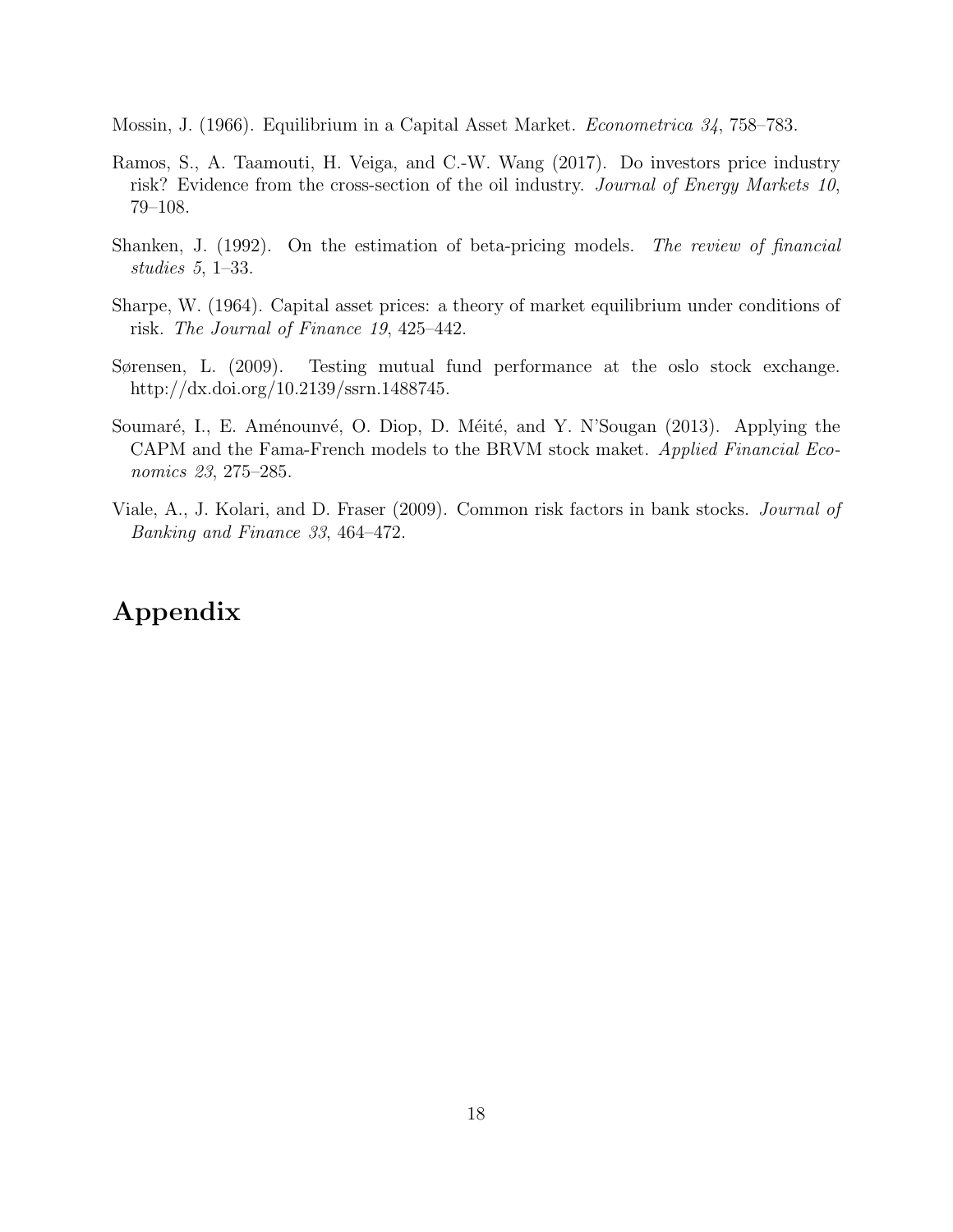Mossin, J. (1966). Equilibrium in a Capital Asset Market. Econometrica 34, 758–783.

- Ramos, S., A. Taamouti, H. Veiga, and C.-W. Wang (2017). Do investors price industry risk? Evidence from the cross-section of the oil industry. Journal of Energy Markets 10, 79–108.
- Shanken, J. (1992). On the estimation of beta-pricing models. The review of financial studies 5, 1–33.
- Sharpe, W. (1964). Capital asset prices: a theory of market equilibrium under conditions of risk. The Journal of Finance 19, 425–442.
- Sørensen, L. (2009). Testing mutual fund performance at the oslo stock exchange. http://dx.doi.org/10.2139/ssrn.1488745.
- Soumaré, I., E. Aménounvé, O. Diop, D. Méité, and Y. N'Sougan (2013). Applying the CAPM and the Fama-French models to the BRVM stock maket. Applied Financial Economics 23, 275–285.
- Viale, A., J. Kolari, and D. Fraser (2009). Common risk factors in bank stocks. Journal of Banking and Finance 33, 464–472.

# Appendix